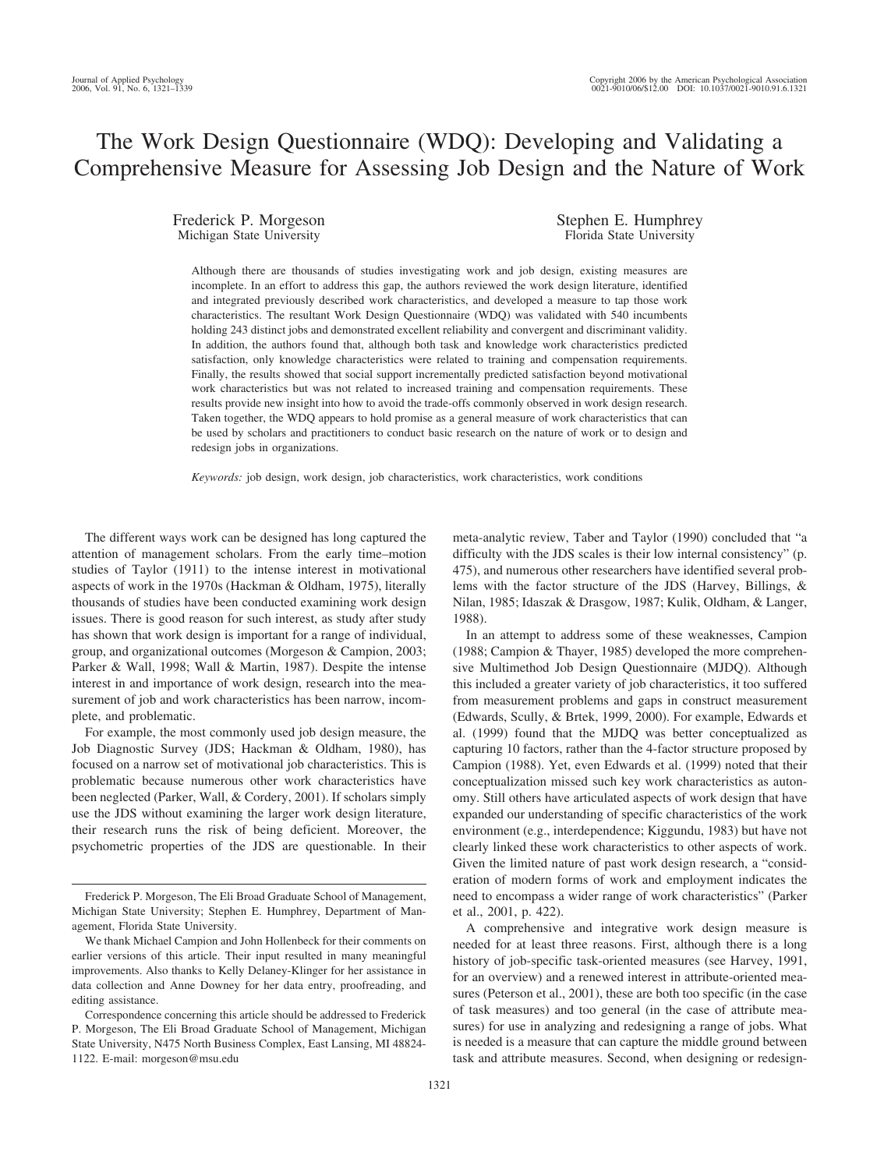# The Work Design Questionnaire (WDQ): Developing and Validating a Comprehensive Measure for Assessing Job Design and the Nature of Work

Frederick P. Morgeson Michigan State University

Stephen E. Humphrey Florida State University

Although there are thousands of studies investigating work and job design, existing measures are incomplete. In an effort to address this gap, the authors reviewed the work design literature, identified and integrated previously described work characteristics, and developed a measure to tap those work characteristics. The resultant Work Design Questionnaire (WDQ) was validated with 540 incumbents holding 243 distinct jobs and demonstrated excellent reliability and convergent and discriminant validity. In addition, the authors found that, although both task and knowledge work characteristics predicted satisfaction, only knowledge characteristics were related to training and compensation requirements. Finally, the results showed that social support incrementally predicted satisfaction beyond motivational work characteristics but was not related to increased training and compensation requirements. These results provide new insight into how to avoid the trade-offs commonly observed in work design research. Taken together, the WDQ appears to hold promise as a general measure of work characteristics that can be used by scholars and practitioners to conduct basic research on the nature of work or to design and redesign jobs in organizations.

*Keywords:* job design, work design, job characteristics, work characteristics, work conditions

The different ways work can be designed has long captured the attention of management scholars. From the early time–motion studies of Taylor (1911) to the intense interest in motivational aspects of work in the 1970s (Hackman & Oldham, 1975), literally thousands of studies have been conducted examining work design issues. There is good reason for such interest, as study after study has shown that work design is important for a range of individual, group, and organizational outcomes (Morgeson & Campion, 2003; Parker & Wall, 1998; Wall & Martin, 1987). Despite the intense interest in and importance of work design, research into the measurement of job and work characteristics has been narrow, incomplete, and problematic.

For example, the most commonly used job design measure, the Job Diagnostic Survey (JDS; Hackman & Oldham, 1980), has focused on a narrow set of motivational job characteristics. This is problematic because numerous other work characteristics have been neglected (Parker, Wall, & Cordery, 2001). If scholars simply use the JDS without examining the larger work design literature, their research runs the risk of being deficient. Moreover, the psychometric properties of the JDS are questionable. In their meta-analytic review, Taber and Taylor (1990) concluded that "a difficulty with the JDS scales is their low internal consistency" (p. 475), and numerous other researchers have identified several problems with the factor structure of the JDS (Harvey, Billings, & Nilan, 1985; Idaszak & Drasgow, 1987; Kulik, Oldham, & Langer, 1988).

In an attempt to address some of these weaknesses, Campion (1988; Campion & Thayer, 1985) developed the more comprehensive Multimethod Job Design Questionnaire (MJDQ). Although this included a greater variety of job characteristics, it too suffered from measurement problems and gaps in construct measurement (Edwards, Scully, & Brtek, 1999, 2000). For example, Edwards et al. (1999) found that the MJDQ was better conceptualized as capturing 10 factors, rather than the 4-factor structure proposed by Campion (1988). Yet, even Edwards et al. (1999) noted that their conceptualization missed such key work characteristics as autonomy. Still others have articulated aspects of work design that have expanded our understanding of specific characteristics of the work environment (e.g., interdependence; Kiggundu, 1983) but have not clearly linked these work characteristics to other aspects of work. Given the limited nature of past work design research, a "consideration of modern forms of work and employment indicates the need to encompass a wider range of work characteristics" (Parker et al., 2001, p. 422).

A comprehensive and integrative work design measure is needed for at least three reasons. First, although there is a long history of job-specific task-oriented measures (see Harvey, 1991, for an overview) and a renewed interest in attribute-oriented measures (Peterson et al., 2001), these are both too specific (in the case of task measures) and too general (in the case of attribute measures) for use in analyzing and redesigning a range of jobs. What is needed is a measure that can capture the middle ground between task and attribute measures. Second, when designing or redesign-

Frederick P. Morgeson, The Eli Broad Graduate School of Management, Michigan State University; Stephen E. Humphrey, Department of Management, Florida State University.

We thank Michael Campion and John Hollenbeck for their comments on earlier versions of this article. Their input resulted in many meaningful improvements. Also thanks to Kelly Delaney-Klinger for her assistance in data collection and Anne Downey for her data entry, proofreading, and editing assistance.

Correspondence concerning this article should be addressed to Frederick P. Morgeson, The Eli Broad Graduate School of Management, Michigan State University, N475 North Business Complex, East Lansing, MI 48824- 1122. E-mail: morgeson@msu.edu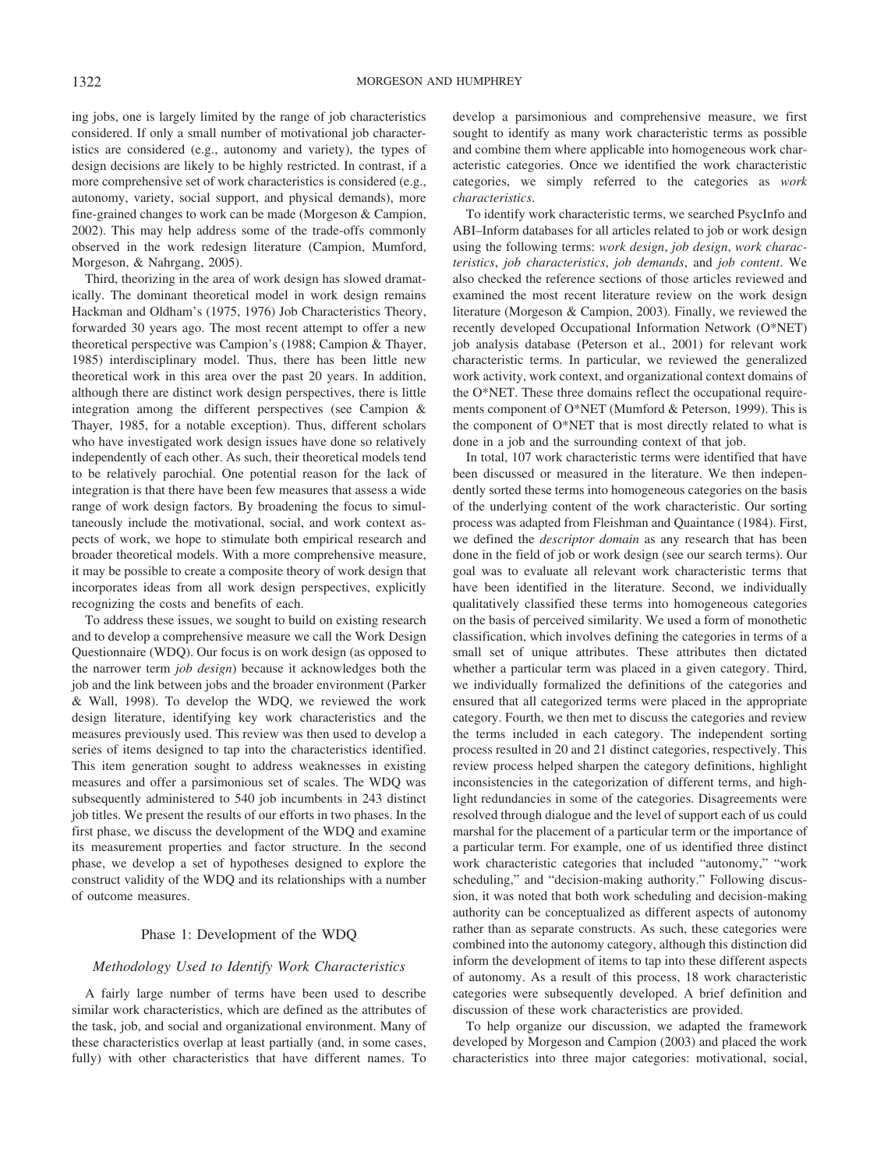ing jobs, one is largely limited by the range of job characteristics considered. If only a small number of motivational job characteristics are considered (e.g., autonomy and variety), the types of design decisions are likely to be highly restricted. In contrast, if a more comprehensive set of work characteristics is considered (e.g., autonomy, variety, social support, and physical demands), more fine-grained changes to work can be made (Morgeson & Campion, 2002). This may help address some of the trade-offs commonly observed in the work redesign literature (Campion, Mumford, Morgeson, & Nahrgang, 2005).

Third, theorizing in the area of work design has slowed dramatically. The dominant theoretical model in work design remains Hackman and Oldham's (1975, 1976) Job Characteristics Theory, forwarded 30 years ago. The most recent attempt to offer a new theoretical perspective was Campion's (1988; Campion & Thayer, 1985) interdisciplinary model. Thus, there has been little new theoretical work in this area over the past 20 years. In addition, although there are distinct work design perspectives, there is little integration among the different perspectives (see Campion & Thayer, 1985, for a notable exception). Thus, different scholars who have investigated work design issues have done so relatively independently of each other. As such, their theoretical models tend to be relatively parochial. One potential reason for the lack of integration is that there have been few measures that assess a wide range of work design factors. By broadening the focus to simultaneously include the motivational, social, and work context aspects of work, we hope to stimulate both empirical research and broader theoretical models. With a more comprehensive measure, it may be possible to create a composite theory of work design that incorporates ideas from all work design perspectives, explicitly recognizing the costs and benefits of each.

To address these issues, we sought to build on existing research and to develop a comprehensive measure we call the Work Design Questionnaire (WDQ). Our focus is on work design (as opposed to the narrower term *job design*) because it acknowledges both the job and the link between jobs and the broader environment (Parker & Wall, 1998). To develop the WDQ, we reviewed the work design literature, identifying key work characteristics and the measures previously used. This review was then used to develop a series of items designed to tap into the characteristics identified. This item generation sought to address weaknesses in existing measures and offer a parsimonious set of scales. The WDQ was subsequently administered to 540 job incumbents in 243 distinct job titles. We present the results of our efforts in two phases. In the first phase, we discuss the development of the WDQ and examine its measurement properties and factor structure. In the second phase, we develop a set of hypotheses designed to explore the construct validity of the WDQ and its relationships with a number of outcome measures.

#### Phase 1: Development of the WDQ

## *Methodology Used to Identify Work Characteristics*

A fairly large number of terms have been used to describe similar work characteristics, which are defined as the attributes of the task, job, and social and organizational environment. Many of these characteristics overlap at least partially (and, in some cases, fully) with other characteristics that have different names. To develop a parsimonious and comprehensive measure, we first sought to identify as many work characteristic terms as possible and combine them where applicable into homogeneous work characteristic categories. Once we identified the work characteristic categories, we simply referred to the categories as *work characteristics*.

To identify work characteristic terms, we searched PsycInfo and ABI–Inform databases for all articles related to job or work design using the following terms: *work design*, *job design*, *work characteristics*, *job characteristics*, *job demands*, and *job content*. We also checked the reference sections of those articles reviewed and examined the most recent literature review on the work design literature (Morgeson & Campion, 2003). Finally, we reviewed the recently developed Occupational Information Network (O\*NET) job analysis database (Peterson et al., 2001) for relevant work characteristic terms. In particular, we reviewed the generalized work activity, work context, and organizational context domains of the O\*NET. These three domains reflect the occupational requirements component of O\*NET (Mumford & Peterson, 1999). This is the component of O\*NET that is most directly related to what is done in a job and the surrounding context of that job.

In total, 107 work characteristic terms were identified that have been discussed or measured in the literature. We then independently sorted these terms into homogeneous categories on the basis of the underlying content of the work characteristic. Our sorting process was adapted from Fleishman and Quaintance (1984). First, we defined the *descriptor domain* as any research that has been done in the field of job or work design (see our search terms). Our goal was to evaluate all relevant work characteristic terms that have been identified in the literature. Second, we individually qualitatively classified these terms into homogeneous categories on the basis of perceived similarity. We used a form of monothetic classification, which involves defining the categories in terms of a small set of unique attributes. These attributes then dictated whether a particular term was placed in a given category. Third, we individually formalized the definitions of the categories and ensured that all categorized terms were placed in the appropriate category. Fourth, we then met to discuss the categories and review the terms included in each category. The independent sorting process resulted in 20 and 21 distinct categories, respectively. This review process helped sharpen the category definitions, highlight inconsistencies in the categorization of different terms, and highlight redundancies in some of the categories. Disagreements were resolved through dialogue and the level of support each of us could marshal for the placement of a particular term or the importance of a particular term. For example, one of us identified three distinct work characteristic categories that included "autonomy," "work scheduling," and "decision-making authority." Following discussion, it was noted that both work scheduling and decision-making authority can be conceptualized as different aspects of autonomy rather than as separate constructs. As such, these categories were combined into the autonomy category, although this distinction did inform the development of items to tap into these different aspects of autonomy. As a result of this process, 18 work characteristic categories were subsequently developed. A brief definition and discussion of these work characteristics are provided.

To help organize our discussion, we adapted the framework developed by Morgeson and Campion (2003) and placed the work characteristics into three major categories: motivational, social,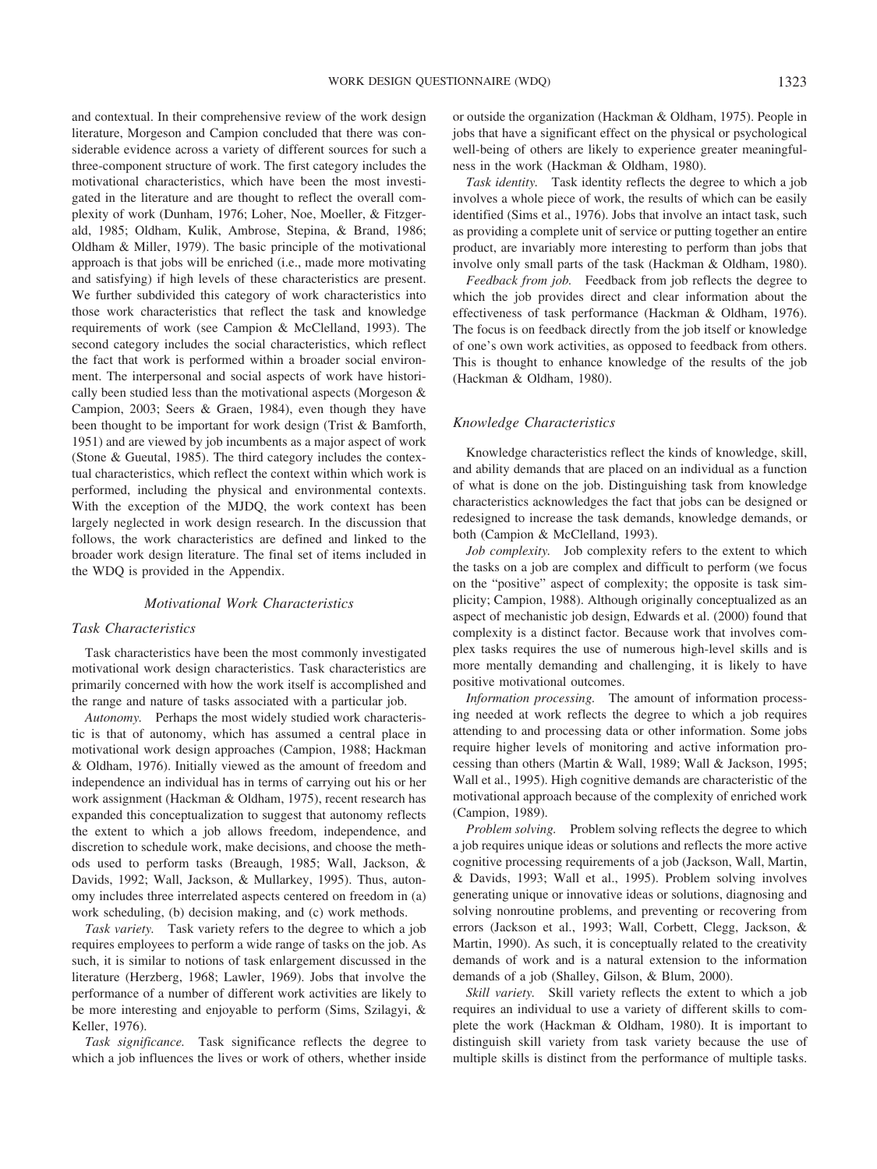and contextual. In their comprehensive review of the work design literature, Morgeson and Campion concluded that there was considerable evidence across a variety of different sources for such a three-component structure of work. The first category includes the motivational characteristics, which have been the most investigated in the literature and are thought to reflect the overall complexity of work (Dunham, 1976; Loher, Noe, Moeller, & Fitzgerald, 1985; Oldham, Kulik, Ambrose, Stepina, & Brand, 1986; Oldham & Miller, 1979). The basic principle of the motivational approach is that jobs will be enriched (i.e., made more motivating and satisfying) if high levels of these characteristics are present. We further subdivided this category of work characteristics into those work characteristics that reflect the task and knowledge requirements of work (see Campion & McClelland, 1993). The second category includes the social characteristics, which reflect the fact that work is performed within a broader social environment. The interpersonal and social aspects of work have historically been studied less than the motivational aspects (Morgeson & Campion, 2003; Seers & Graen, 1984), even though they have been thought to be important for work design (Trist & Bamforth, 1951) and are viewed by job incumbents as a major aspect of work (Stone & Gueutal, 1985). The third category includes the contextual characteristics, which reflect the context within which work is performed, including the physical and environmental contexts. With the exception of the MJDQ, the work context has been largely neglected in work design research. In the discussion that follows, the work characteristics are defined and linked to the broader work design literature. The final set of items included in the WDQ is provided in the Appendix.

#### *Motivational Work Characteristics*

#### *Task Characteristics*

Task characteristics have been the most commonly investigated motivational work design characteristics. Task characteristics are primarily concerned with how the work itself is accomplished and the range and nature of tasks associated with a particular job.

*Autonomy.* Perhaps the most widely studied work characteristic is that of autonomy, which has assumed a central place in motivational work design approaches (Campion, 1988; Hackman & Oldham, 1976). Initially viewed as the amount of freedom and independence an individual has in terms of carrying out his or her work assignment (Hackman & Oldham, 1975), recent research has expanded this conceptualization to suggest that autonomy reflects the extent to which a job allows freedom, independence, and discretion to schedule work, make decisions, and choose the methods used to perform tasks (Breaugh, 1985; Wall, Jackson, & Davids, 1992; Wall, Jackson, & Mullarkey, 1995). Thus, autonomy includes three interrelated aspects centered on freedom in (a) work scheduling, (b) decision making, and (c) work methods.

*Task variety.* Task variety refers to the degree to which a job requires employees to perform a wide range of tasks on the job. As such, it is similar to notions of task enlargement discussed in the literature (Herzberg, 1968; Lawler, 1969). Jobs that involve the performance of a number of different work activities are likely to be more interesting and enjoyable to perform (Sims, Szilagyi, & Keller, 1976).

*Task significance.* Task significance reflects the degree to which a job influences the lives or work of others, whether inside or outside the organization (Hackman & Oldham, 1975). People in jobs that have a significant effect on the physical or psychological well-being of others are likely to experience greater meaningfulness in the work (Hackman & Oldham, 1980).

*Task identity.* Task identity reflects the degree to which a job involves a whole piece of work, the results of which can be easily identified (Sims et al., 1976). Jobs that involve an intact task, such as providing a complete unit of service or putting together an entire product, are invariably more interesting to perform than jobs that involve only small parts of the task (Hackman & Oldham, 1980).

*Feedback from job.* Feedback from job reflects the degree to which the job provides direct and clear information about the effectiveness of task performance (Hackman & Oldham, 1976). The focus is on feedback directly from the job itself or knowledge of one's own work activities, as opposed to feedback from others. This is thought to enhance knowledge of the results of the job (Hackman & Oldham, 1980).

#### *Knowledge Characteristics*

Knowledge characteristics reflect the kinds of knowledge, skill, and ability demands that are placed on an individual as a function of what is done on the job. Distinguishing task from knowledge characteristics acknowledges the fact that jobs can be designed or redesigned to increase the task demands, knowledge demands, or both (Campion & McClelland, 1993).

*Job complexity.* Job complexity refers to the extent to which the tasks on a job are complex and difficult to perform (we focus on the "positive" aspect of complexity; the opposite is task simplicity; Campion, 1988). Although originally conceptualized as an aspect of mechanistic job design, Edwards et al. (2000) found that complexity is a distinct factor. Because work that involves complex tasks requires the use of numerous high-level skills and is more mentally demanding and challenging, it is likely to have positive motivational outcomes.

*Information processing.* The amount of information processing needed at work reflects the degree to which a job requires attending to and processing data or other information. Some jobs require higher levels of monitoring and active information processing than others (Martin & Wall, 1989; Wall & Jackson, 1995; Wall et al., 1995). High cognitive demands are characteristic of the motivational approach because of the complexity of enriched work (Campion, 1989).

*Problem solving.* Problem solving reflects the degree to which a job requires unique ideas or solutions and reflects the more active cognitive processing requirements of a job (Jackson, Wall, Martin, & Davids, 1993; Wall et al., 1995). Problem solving involves generating unique or innovative ideas or solutions, diagnosing and solving nonroutine problems, and preventing or recovering from errors (Jackson et al., 1993; Wall, Corbett, Clegg, Jackson, & Martin, 1990). As such, it is conceptually related to the creativity demands of work and is a natural extension to the information demands of a job (Shalley, Gilson, & Blum, 2000).

*Skill variety.* Skill variety reflects the extent to which a job requires an individual to use a variety of different skills to complete the work (Hackman & Oldham, 1980). It is important to distinguish skill variety from task variety because the use of multiple skills is distinct from the performance of multiple tasks.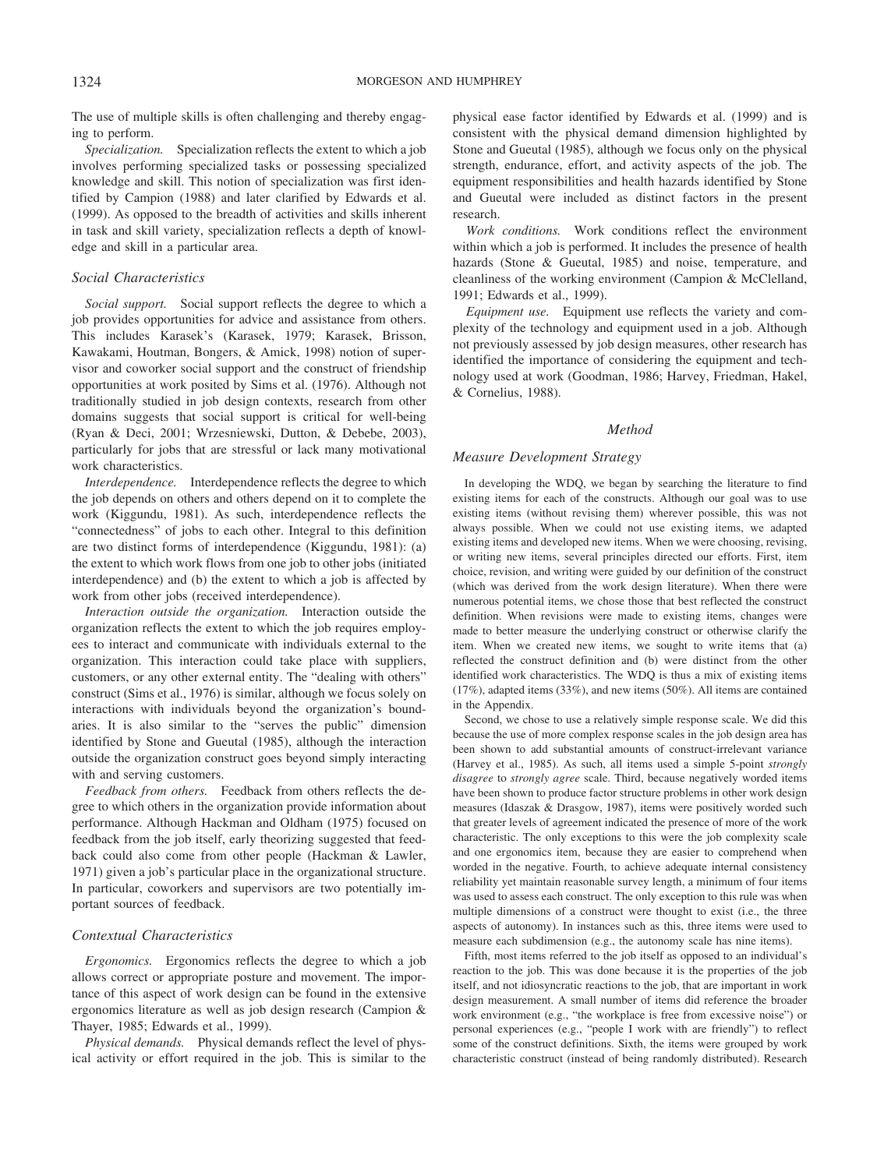The use of multiple skills is often challenging and thereby engaging to perform.

*Specialization.* Specialization reflects the extent to which a job involves performing specialized tasks or possessing specialized knowledge and skill. This notion of specialization was first identified by Campion (1988) and later clarified by Edwards et al. (1999). As opposed to the breadth of activities and skills inherent in task and skill variety, specialization reflects a depth of knowledge and skill in a particular area.

## *Social Characteristics*

*Social support.* Social support reflects the degree to which a job provides opportunities for advice and assistance from others. This includes Karasek's (Karasek, 1979; Karasek, Brisson, Kawakami, Houtman, Bongers, & Amick, 1998) notion of supervisor and coworker social support and the construct of friendship opportunities at work posited by Sims et al. (1976). Although not traditionally studied in job design contexts, research from other domains suggests that social support is critical for well-being (Ryan & Deci, 2001; Wrzesniewski, Dutton, & Debebe, 2003), particularly for jobs that are stressful or lack many motivational work characteristics.

*Interdependence.* Interdependence reflects the degree to which the job depends on others and others depend on it to complete the work (Kiggundu, 1981). As such, interdependence reflects the "connectedness" of jobs to each other. Integral to this definition are two distinct forms of interdependence (Kiggundu, 1981): (a) the extent to which work flows from one job to other jobs (initiated interdependence) and (b) the extent to which a job is affected by work from other jobs (received interdependence).

*Interaction outside the organization.* Interaction outside the organization reflects the extent to which the job requires employees to interact and communicate with individuals external to the organization. This interaction could take place with suppliers, customers, or any other external entity. The "dealing with others" construct (Sims et al., 1976) is similar, although we focus solely on interactions with individuals beyond the organization's boundaries. It is also similar to the "serves the public" dimension identified by Stone and Gueutal (1985), although the interaction outside the organization construct goes beyond simply interacting with and serving customers.

*Feedback from others.* Feedback from others reflects the degree to which others in the organization provide information about performance. Although Hackman and Oldham (1975) focused on feedback from the job itself, early theorizing suggested that feedback could also come from other people (Hackman & Lawler, 1971) given a job's particular place in the organizational structure. In particular, coworkers and supervisors are two potentially important sources of feedback.

#### *Contextual Characteristics*

*Ergonomics.* Ergonomics reflects the degree to which a job allows correct or appropriate posture and movement. The importance of this aspect of work design can be found in the extensive ergonomics literature as well as job design research (Campion & Thayer, 1985; Edwards et al., 1999).

*Physical demands.* Physical demands reflect the level of physical activity or effort required in the job. This is similar to the physical ease factor identified by Edwards et al. (1999) and is consistent with the physical demand dimension highlighted by Stone and Gueutal (1985), although we focus only on the physical strength, endurance, effort, and activity aspects of the job. The equipment responsibilities and health hazards identified by Stone and Gueutal were included as distinct factors in the present research.

*Work conditions.* Work conditions reflect the environment within which a job is performed. It includes the presence of health hazards (Stone & Gueutal, 1985) and noise, temperature, and cleanliness of the working environment (Campion & McClelland, 1991; Edwards et al., 1999).

*Equipment use.* Equipment use reflects the variety and complexity of the technology and equipment used in a job. Although not previously assessed by job design measures, other research has identified the importance of considering the equipment and technology used at work (Goodman, 1986; Harvey, Friedman, Hakel, & Cornelius, 1988).

## *Method*

#### *Measure Development Strategy*

In developing the WDQ, we began by searching the literature to find existing items for each of the constructs. Although our goal was to use existing items (without revising them) wherever possible, this was not always possible. When we could not use existing items, we adapted existing items and developed new items. When we were choosing, revising, or writing new items, several principles directed our efforts. First, item choice, revision, and writing were guided by our definition of the construct (which was derived from the work design literature). When there were numerous potential items, we chose those that best reflected the construct definition. When revisions were made to existing items, changes were made to better measure the underlying construct or otherwise clarify the item. When we created new items, we sought to write items that (a) reflected the construct definition and (b) were distinct from the other identified work characteristics. The WDQ is thus a mix of existing items (17%), adapted items (33%), and new items (50%). All items are contained in the Appendix.

Second, we chose to use a relatively simple response scale. We did this because the use of more complex response scales in the job design area has been shown to add substantial amounts of construct-irrelevant variance (Harvey et al., 1985). As such, all items used a simple 5-point *strongly disagree* to *strongly agree* scale. Third, because negatively worded items have been shown to produce factor structure problems in other work design measures (Idaszak & Drasgow, 1987), items were positively worded such that greater levels of agreement indicated the presence of more of the work characteristic. The only exceptions to this were the job complexity scale and one ergonomics item, because they are easier to comprehend when worded in the negative. Fourth, to achieve adequate internal consistency reliability yet maintain reasonable survey length, a minimum of four items was used to assess each construct. The only exception to this rule was when multiple dimensions of a construct were thought to exist (i.e., the three aspects of autonomy). In instances such as this, three items were used to measure each subdimension (e.g., the autonomy scale has nine items).

Fifth, most items referred to the job itself as opposed to an individual's reaction to the job. This was done because it is the properties of the job itself, and not idiosyncratic reactions to the job, that are important in work design measurement. A small number of items did reference the broader work environment (e.g., "the workplace is free from excessive noise") or personal experiences (e.g., "people I work with are friendly") to reflect some of the construct definitions. Sixth, the items were grouped by work characteristic construct (instead of being randomly distributed). Research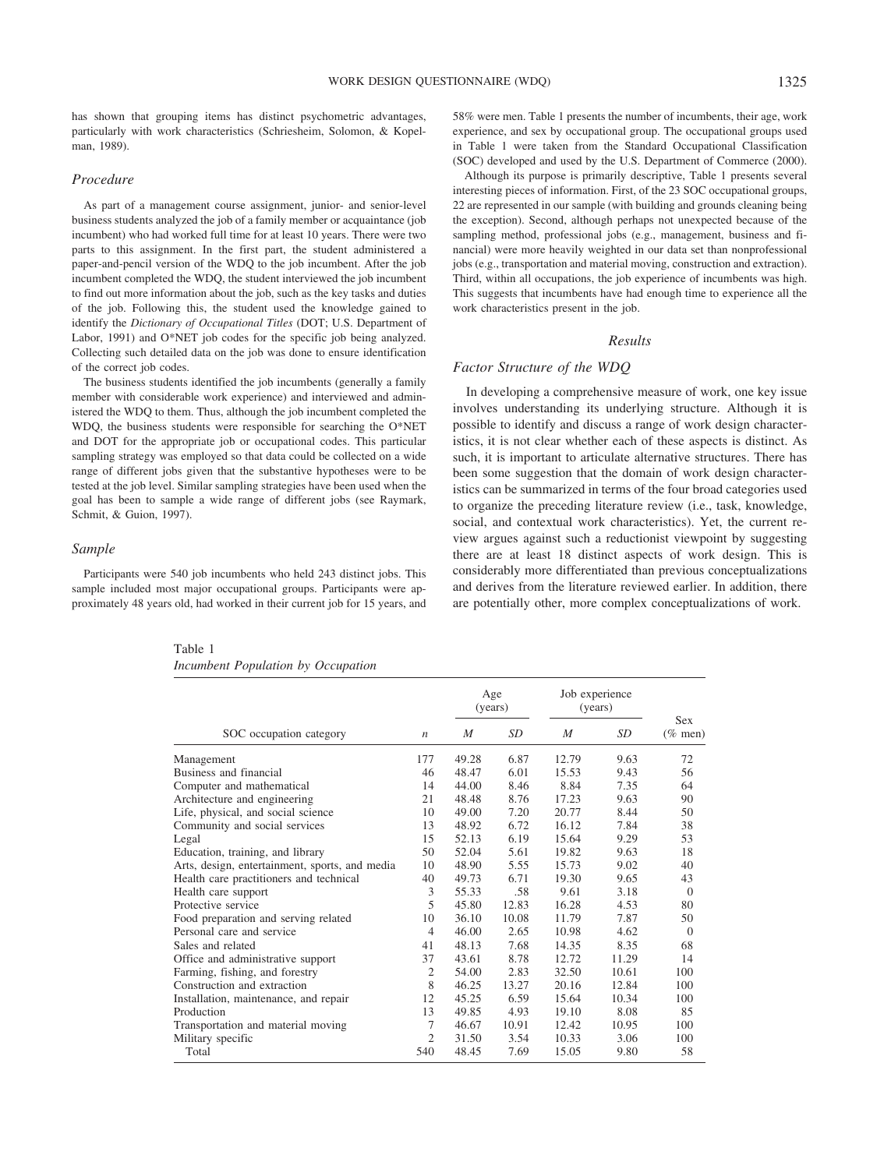has shown that grouping items has distinct psychometric advantages, particularly with work characteristics (Schriesheim, Solomon, & Kopelman, 1989).

## *Procedure*

As part of a management course assignment, junior- and senior-level business students analyzed the job of a family member or acquaintance (job incumbent) who had worked full time for at least 10 years. There were two parts to this assignment. In the first part, the student administered a paper-and-pencil version of the WDQ to the job incumbent. After the job incumbent completed the WDQ, the student interviewed the job incumbent to find out more information about the job, such as the key tasks and duties of the job. Following this, the student used the knowledge gained to identify the *Dictionary of Occupational Titles* (DOT; U.S. Department of Labor, 1991) and O\*NET job codes for the specific job being analyzed. Collecting such detailed data on the job was done to ensure identification of the correct job codes.

The business students identified the job incumbents (generally a family member with considerable work experience) and interviewed and administered the WDQ to them. Thus, although the job incumbent completed the WDQ, the business students were responsible for searching the O\*NET and DOT for the appropriate job or occupational codes. This particular sampling strategy was employed so that data could be collected on a wide range of different jobs given that the substantive hypotheses were to be tested at the job level. Similar sampling strategies have been used when the goal has been to sample a wide range of different jobs (see Raymark, Schmit, & Guion, 1997).

#### *Sample*

Participants were 540 job incumbents who held 243 distinct jobs. This sample included most major occupational groups. Participants were approximately 48 years old, had worked in their current job for 15 years, and

Table 1

*Incumbent Population by Occupation*

58% were men. Table 1 presents the number of incumbents, their age, work experience, and sex by occupational group. The occupational groups used in Table 1 were taken from the Standard Occupational Classification (SOC) developed and used by the U.S. Department of Commerce (2000).

Although its purpose is primarily descriptive, Table 1 presents several interesting pieces of information. First, of the 23 SOC occupational groups, 22 are represented in our sample (with building and grounds cleaning being the exception). Second, although perhaps not unexpected because of the sampling method, professional jobs (e.g., management, business and financial) were more heavily weighted in our data set than nonprofessional jobs (e.g., transportation and material moving, construction and extraction). Third, within all occupations, the job experience of incumbents was high. This suggests that incumbents have had enough time to experience all the work characteristics present in the job.

## *Results*

#### *Factor Structure of the WDQ*

In developing a comprehensive measure of work, one key issue involves understanding its underlying structure. Although it is possible to identify and discuss a range of work design characteristics, it is not clear whether each of these aspects is distinct. As such, it is important to articulate alternative structures. There has been some suggestion that the domain of work design characteristics can be summarized in terms of the four broad categories used to organize the preceding literature review (i.e., task, knowledge, social, and contextual work characteristics). Yet, the current review argues against such a reductionist viewpoint by suggesting there are at least 18 distinct aspects of work design. This is considerably more differentiated than previous conceptualizations and derives from the literature reviewed earlier. In addition, there are potentially other, more complex conceptualizations of work.

|                                                |                  |       | Age<br>(years) |       | Job experience<br>(years) |                          |
|------------------------------------------------|------------------|-------|----------------|-------|---------------------------|--------------------------|
| SOC occupation category                        | $\boldsymbol{n}$ | M     | SD             | M     | SD                        | <b>Sex</b><br>$(\%$ men) |
| Management                                     | 177              | 49.28 | 6.87           | 12.79 | 9.63                      | 72                       |
| Business and financial                         | 46               | 48.47 | 6.01           | 15.53 | 9.43                      | 56                       |
| Computer and mathematical                      | 14               | 44.00 | 8.46           | 8.84  | 7.35                      | 64                       |
| Architecture and engineering                   | 21               | 48.48 | 8.76           | 17.23 | 9.63                      | 90                       |
| Life, physical, and social science             | 10               | 49.00 | 7.20           | 20.77 | 8.44                      | 50                       |
| Community and social services                  | 13               | 48.92 | 6.72           | 16.12 | 7.84                      | 38                       |
| Legal                                          | 15               | 52.13 | 6.19           | 15.64 | 9.29                      | 53                       |
| Education, training, and library               | 50               | 52.04 | 5.61           | 19.82 | 9.63                      | 18                       |
| Arts, design, entertainment, sports, and media | 10               | 48.90 | 5.55           | 15.73 | 9.02                      | 40                       |
| Health care practitioners and technical        | 40               | 49.73 | 6.71           | 19.30 | 9.65                      | 43                       |
| Health care support                            | 3                | 55.33 | .58            | 9.61  | 3.18                      | $\Omega$                 |
| Protective service                             | 5                | 45.80 | 12.83          | 16.28 | 4.53                      | 80                       |
| Food preparation and serving related           | 10               | 36.10 | 10.08          | 11.79 | 7.87                      | 50                       |
| Personal care and service                      | $\overline{4}$   | 46.00 | 2.65           | 10.98 | 4.62                      | $\Omega$                 |
| Sales and related                              | 41               | 48.13 | 7.68           | 14.35 | 8.35                      | 68                       |
| Office and administrative support              | 37               | 43.61 | 8.78           | 12.72 | 11.29                     | 14                       |
| Farming, fishing, and forestry                 | 2                | 54.00 | 2.83           | 32.50 | 10.61                     | 100                      |
| Construction and extraction                    | 8                | 46.25 | 13.27          | 20.16 | 12.84                     | 100                      |
| Installation, maintenance, and repair          | 12               | 45.25 | 6.59           | 15.64 | 10.34                     | 100                      |
| Production                                     | 13               | 49.85 | 4.93           | 19.10 | 8.08                      | 85                       |
| Transportation and material moving             | 7                | 46.67 | 10.91          | 12.42 | 10.95                     | 100                      |
| Military specific                              | $\mathfrak{2}$   | 31.50 | 3.54           | 10.33 | 3.06                      | 100                      |
| Total                                          | 540              | 48.45 | 7.69           | 15.05 | 9.80                      | 58                       |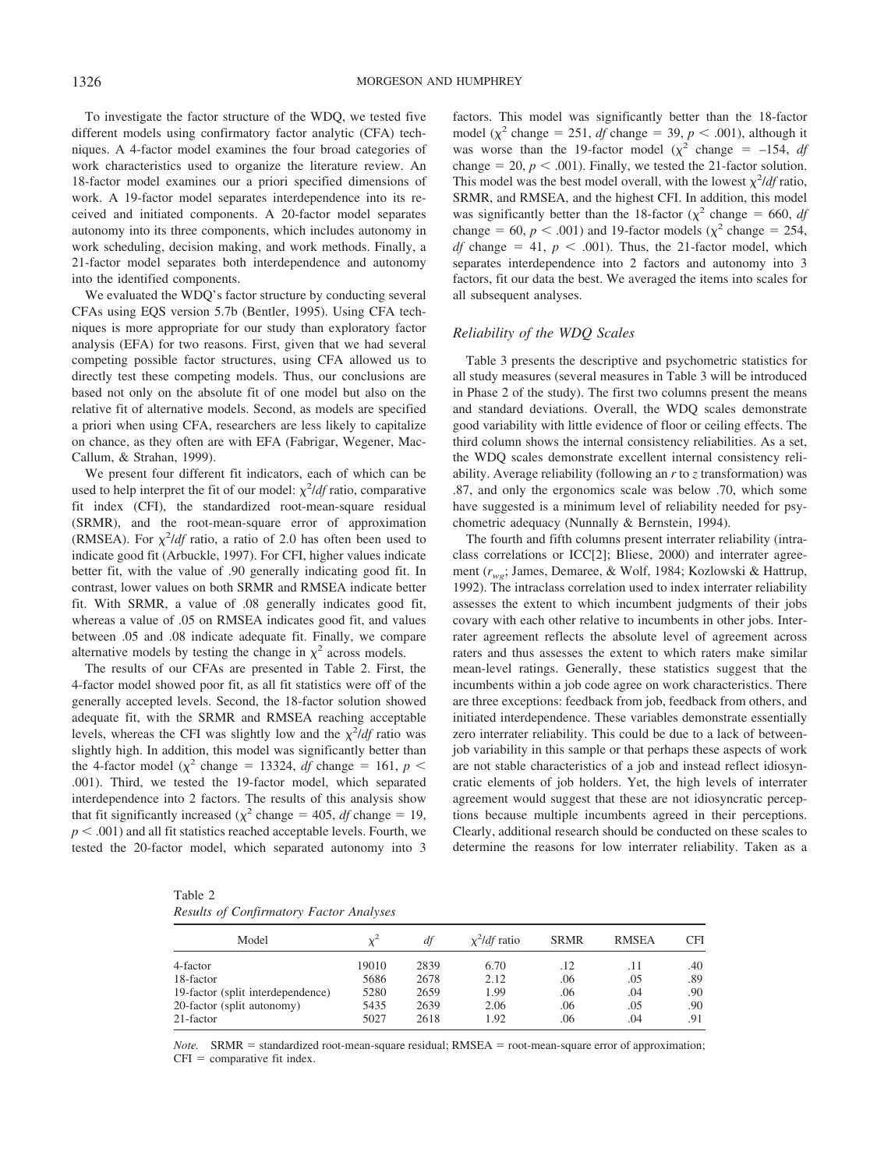To investigate the factor structure of the WDQ, we tested five different models using confirmatory factor analytic (CFA) techniques. A 4-factor model examines the four broad categories of work characteristics used to organize the literature review. An 18-factor model examines our a priori specified dimensions of work. A 19-factor model separates interdependence into its received and initiated components. A 20-factor model separates autonomy into its three components, which includes autonomy in work scheduling, decision making, and work methods. Finally, a 21-factor model separates both interdependence and autonomy into the identified components.

We evaluated the WDQ's factor structure by conducting several CFAs using EQS version 5.7b (Bentler, 1995). Using CFA techniques is more appropriate for our study than exploratory factor analysis (EFA) for two reasons. First, given that we had several competing possible factor structures, using CFA allowed us to directly test these competing models. Thus, our conclusions are based not only on the absolute fit of one model but also on the relative fit of alternative models. Second, as models are specified a priori when using CFA, researchers are less likely to capitalize on chance, as they often are with EFA (Fabrigar, Wegener, Mac-Callum, & Strahan, 1999).

We present four different fit indicators, each of which can be used to help interpret the fit of our model:  $\chi^2$ /*df* ratio, comparative fit index (CFI), the standardized root-mean-square residual (SRMR), and the root-mean-square error of approximation (RMSEA). For  $\chi^2$ /*df* ratio, a ratio of 2.0 has often been used to indicate good fit (Arbuckle, 1997). For CFI, higher values indicate better fit, with the value of .90 generally indicating good fit. In contrast, lower values on both SRMR and RMSEA indicate better fit. With SRMR, a value of .08 generally indicates good fit, whereas a value of .05 on RMSEA indicates good fit, and values between .05 and .08 indicate adequate fit. Finally, we compare alternative models by testing the change in  $\chi^2$  across models.

The results of our CFAs are presented in Table 2. First, the 4-factor model showed poor fit, as all fit statistics were off of the generally accepted levels. Second, the 18-factor solution showed adequate fit, with the SRMR and RMSEA reaching acceptable levels, whereas the CFI was slightly low and the  $\chi^2$ /*df* ratio was slightly high. In addition, this model was significantly better than the 4-factor model ( $\chi^2$  change = 13324, *df* change = 161, *p* < .001). Third, we tested the 19-factor model, which separated interdependence into 2 factors. The results of this analysis show that fit significantly increased ( $\chi^2$  change = 405, *df* change = 19,  $p < .001$ ) and all fit statistics reached acceptable levels. Fourth, we tested the 20-factor model, which separated autonomy into 3 factors. This model was significantly better than the 18-factor model ( $\chi^2$  change = 251, *df* change = 39, *p* < .001), although it was worse than the 19-factor model ( $\chi^2$  change = -154, *df* change  $= 20$ ,  $p < .001$ ). Finally, we tested the 21-factor solution. This model was the best model overall, with the lowest  $\chi^2$ /*df* ratio, SRMR, and RMSEA, and the highest CFI. In addition, this model was significantly better than the 18-factor ( $\chi^2$  change = 660, *df* change = 60,  $p < .001$ ) and 19-factor models ( $\chi^2$  change = 254, *df* change = 41,  $p < .001$ ). Thus, the 21-factor model, which separates interdependence into 2 factors and autonomy into 3 factors, fit our data the best. We averaged the items into scales for all subsequent analyses.

#### *Reliability of the WDQ Scales*

Table 3 presents the descriptive and psychometric statistics for all study measures (several measures in Table 3 will be introduced in Phase 2 of the study). The first two columns present the means and standard deviations. Overall, the WDQ scales demonstrate good variability with little evidence of floor or ceiling effects. The third column shows the internal consistency reliabilities. As a set, the WDQ scales demonstrate excellent internal consistency reliability. Average reliability (following an *r* to *z* transformation) was .87, and only the ergonomics scale was below .70, which some have suggested is a minimum level of reliability needed for psychometric adequacy (Nunnally & Bernstein, 1994).

The fourth and fifth columns present interrater reliability (intraclass correlations or ICC[2]; Bliese, 2000) and interrater agreement (*rwg*; James, Demaree, & Wolf, 1984; Kozlowski & Hattrup, 1992). The intraclass correlation used to index interrater reliability assesses the extent to which incumbent judgments of their jobs covary with each other relative to incumbents in other jobs. Interrater agreement reflects the absolute level of agreement across raters and thus assesses the extent to which raters make similar mean-level ratings. Generally, these statistics suggest that the incumbents within a job code agree on work characteristics. There are three exceptions: feedback from job, feedback from others, and initiated interdependence. These variables demonstrate essentially zero interrater reliability. This could be due to a lack of betweenjob variability in this sample or that perhaps these aspects of work are not stable characteristics of a job and instead reflect idiosyncratic elements of job holders. Yet, the high levels of interrater agreement would suggest that these are not idiosyncratic perceptions because multiple incumbents agreed in their perceptions. Clearly, additional research should be conducted on these scales to determine the reasons for low interrater reliability. Taken as a

Table 2 *Results of Confirmatory Factor Analyses*

| Model                             |       | df   | $\chi^2$ / <i>df</i> ratio | <b>SRMR</b> | <b>RMSEA</b> | <b>CFI</b> |
|-----------------------------------|-------|------|----------------------------|-------------|--------------|------------|
| 4-factor                          | 19010 | 2839 | 6.70                       | .12         | . 11         | .40        |
| 18-factor                         | 5686  | 2678 | 2.12                       | .06         | .05          | .89        |
| 19-factor (split interdependence) | 5280  | 2659 | 1.99                       | .06         | .04          | .90        |
| 20-factor (split autonomy)        | 5435  | 2639 | 2.06                       | .06         | .05          | .90        |
| 21-factor                         | 5027  | 2618 | 1.92                       | .06         | .04          | .91        |

*Note.* SRMR = standardized root-mean-square residual; RMSEA = root-mean-square error of approximation;  $CFI = \text{comparative fit index.}$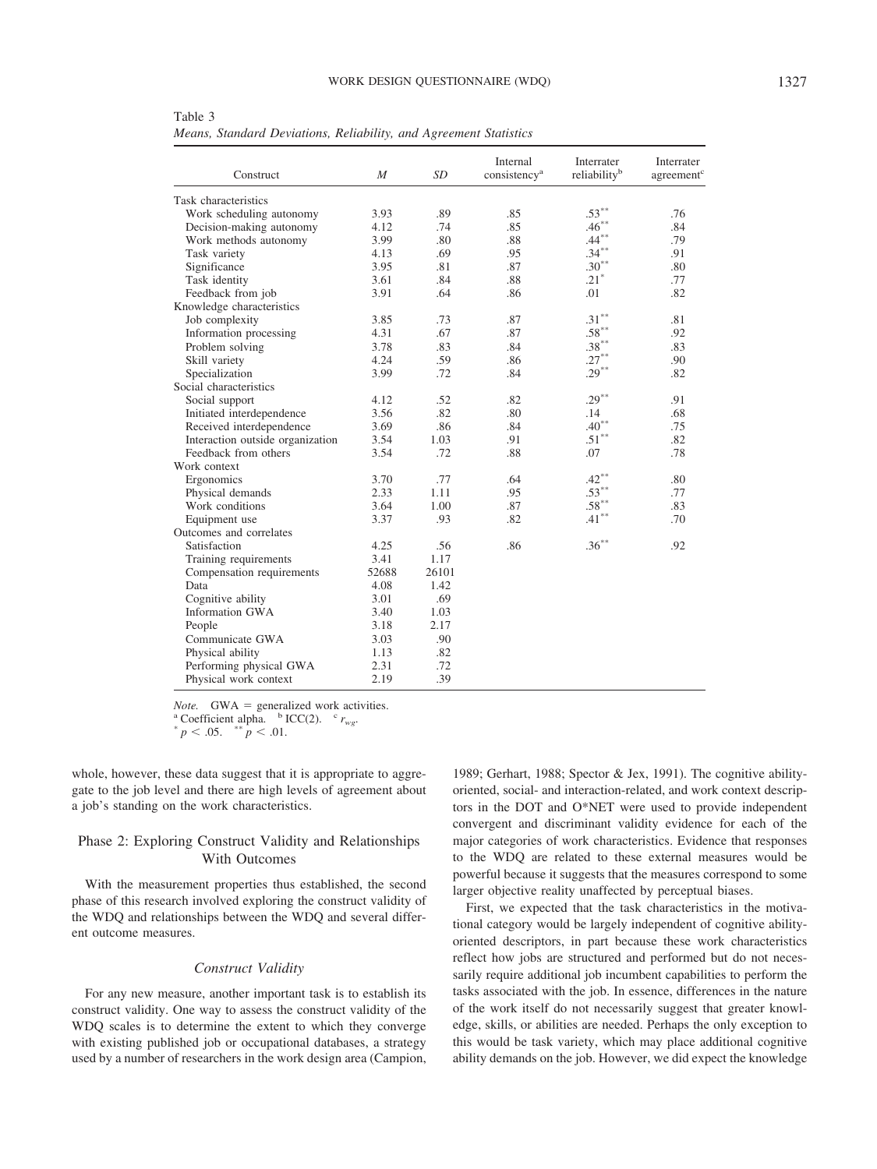| Construct                        | $\boldsymbol{M}$ | <b>SD</b> | Internal<br>consistency <sup>a</sup> | Interrater<br>reliability <sup>b</sup> | Interrater<br>agreement <sup>c</sup> |
|----------------------------------|------------------|-----------|--------------------------------------|----------------------------------------|--------------------------------------|
| Task characteristics             |                  |           |                                      |                                        |                                      |
| Work scheduling autonomy         | 3.93             | .89       | .85                                  | $.53***$                               | .76                                  |
| Decision-making autonomy         | 4.12             | .74       | .85                                  | $.46***$                               | .84                                  |
| Work methods autonomy            | 3.99             | .80       | .88                                  | $.44***$                               | .79                                  |
| Task variety                     | 4.13             | .69       | .95                                  | $.34***$                               | .91                                  |
| Significance                     | 3.95             | .81       | .87                                  | $.30***$                               | .80                                  |
| Task identity                    | 3.61             | .84       | .88                                  | $.21^*$                                | .77                                  |
| Feedback from job                | 3.91             | .64       | .86                                  | .01                                    | .82                                  |
| Knowledge characteristics        |                  |           |                                      |                                        |                                      |
| Job complexity                   | 3.85             | .73       | .87                                  | $.31***$                               | .81                                  |
| Information processing           | 4.31             | .67       | .87                                  | $.58***$                               | .92                                  |
| Problem solving                  | 3.78             | .83       | .84                                  | $.38^{\ast\ast}$                       | .83                                  |
| Skill variety                    | 4.24             | .59       | .86                                  | $.27***$                               | .90                                  |
| Specialization                   | 3.99             | .72       | .84                                  | $.29***$                               | .82                                  |
| Social characteristics           |                  |           |                                      |                                        |                                      |
| Social support                   | 4.12             | .52       | .82                                  | $.29***$                               | .91                                  |
| Initiated interdependence        | 3.56             | .82       | .80                                  | .14                                    | .68                                  |
| Received interdependence         | 3.69             | .86       | .84                                  | $.40***$                               | .75                                  |
| Interaction outside organization | 3.54             | 1.03      | .91                                  | $.51^{\ast\ast}$                       | .82                                  |
| Feedback from others             | 3.54             | .72       | .88                                  | .07                                    | .78                                  |
| Work context                     |                  |           |                                      |                                        |                                      |
| Ergonomics                       | 3.70             | .77       | .64                                  | $.42***$                               | .80                                  |
| Physical demands                 | 2.33             | 1.11      | .95                                  | $.53***$                               | .77                                  |
| Work conditions                  | 3.64             | 1.00      | .87                                  | $.58^{\ast\ast}$                       | .83                                  |
| Equipment use                    | 3.37             | .93       | .82                                  | $.41^{\ast\ast}$                       | .70                                  |
| Outcomes and correlates          |                  |           |                                      |                                        |                                      |
| Satisfaction                     | 4.25             | .56       | .86                                  | $.36***$                               | .92                                  |
| Training requirements            | 3.41             | 1.17      |                                      |                                        |                                      |
| Compensation requirements        | 52688            | 26101     |                                      |                                        |                                      |
| Data                             | 4.08             | 1.42      |                                      |                                        |                                      |
| Cognitive ability                | 3.01             | .69       |                                      |                                        |                                      |
| Information GWA                  | 3.40             | 1.03      |                                      |                                        |                                      |
| People                           | 3.18             | 2.17      |                                      |                                        |                                      |
| Communicate GWA                  | 3.03             | .90       |                                      |                                        |                                      |
| Physical ability                 | 1.13             | .82       |                                      |                                        |                                      |
| Performing physical GWA          | 2.31             | .72       |                                      |                                        |                                      |
| Physical work context            | 2.19             | .39       |                                      |                                        |                                      |

Table 3 *Means, Standard Deviations, Reliability, and Agreement Statistics*

*Note.* GWA = generalized work activities.

a Coefficient alpha.  $\binom{b}{r_{wg}}$   $r_{wg}$ .  $\binom{c}{p}$  .05. \*\* *p* < .01.

whole, however, these data suggest that it is appropriate to aggregate to the job level and there are high levels of agreement about a job's standing on the work characteristics.

## Phase 2: Exploring Construct Validity and Relationships With Outcomes

With the measurement properties thus established, the second phase of this research involved exploring the construct validity of the WDQ and relationships between the WDQ and several different outcome measures.

#### *Construct Validity*

For any new measure, another important task is to establish its construct validity. One way to assess the construct validity of the WDQ scales is to determine the extent to which they converge with existing published job or occupational databases, a strategy used by a number of researchers in the work design area (Campion, 1989; Gerhart, 1988; Spector & Jex, 1991). The cognitive abilityoriented, social- and interaction-related, and work context descriptors in the DOT and O\*NET were used to provide independent convergent and discriminant validity evidence for each of the major categories of work characteristics. Evidence that responses to the WDQ are related to these external measures would be powerful because it suggests that the measures correspond to some larger objective reality unaffected by perceptual biases.

First, we expected that the task characteristics in the motivational category would be largely independent of cognitive abilityoriented descriptors, in part because these work characteristics reflect how jobs are structured and performed but do not necessarily require additional job incumbent capabilities to perform the tasks associated with the job. In essence, differences in the nature of the work itself do not necessarily suggest that greater knowledge, skills, or abilities are needed. Perhaps the only exception to this would be task variety, which may place additional cognitive ability demands on the job. However, we did expect the knowledge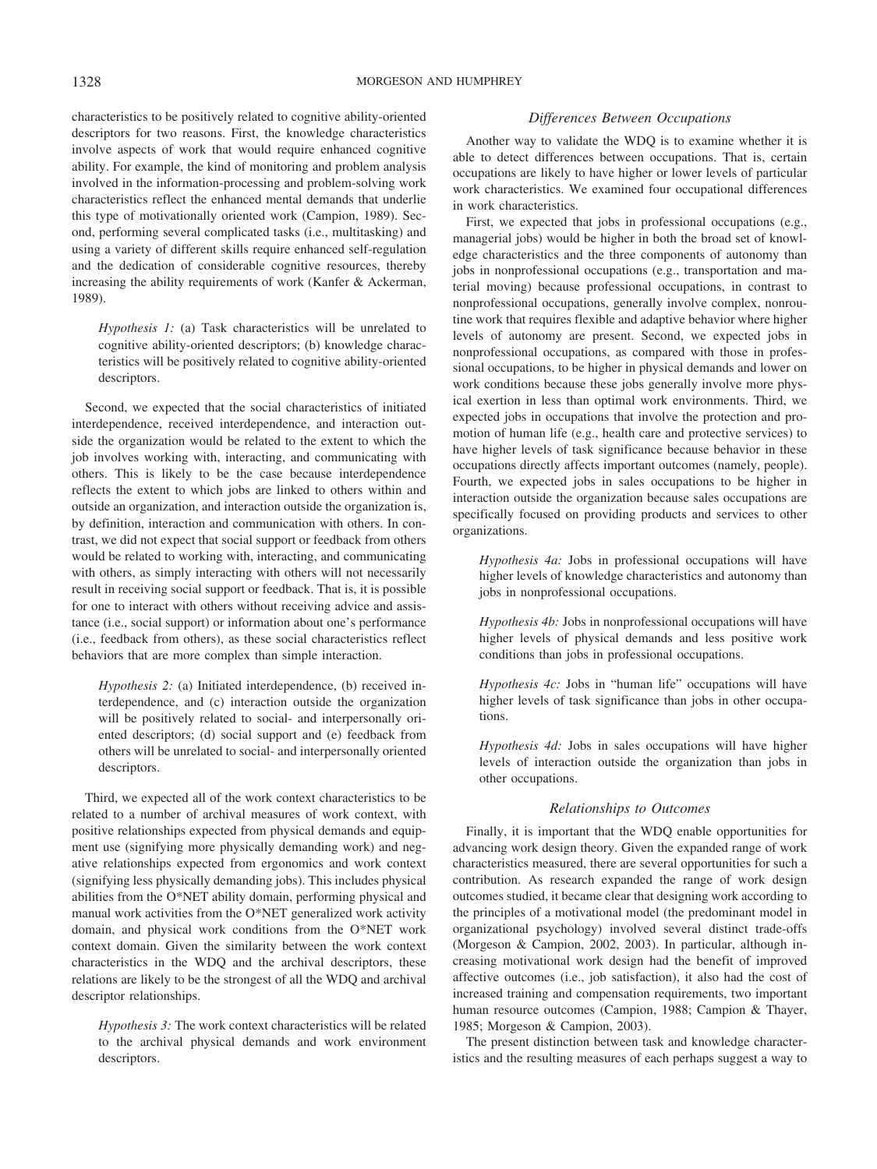characteristics to be positively related to cognitive ability-oriented descriptors for two reasons. First, the knowledge characteristics involve aspects of work that would require enhanced cognitive ability. For example, the kind of monitoring and problem analysis involved in the information-processing and problem-solving work characteristics reflect the enhanced mental demands that underlie this type of motivationally oriented work (Campion, 1989). Second, performing several complicated tasks (i.e., multitasking) and using a variety of different skills require enhanced self-regulation and the dedication of considerable cognitive resources, thereby increasing the ability requirements of work (Kanfer & Ackerman, 1989).

*Hypothesis 1:* (a) Task characteristics will be unrelated to cognitive ability-oriented descriptors; (b) knowledge characteristics will be positively related to cognitive ability-oriented descriptors.

Second, we expected that the social characteristics of initiated interdependence, received interdependence, and interaction outside the organization would be related to the extent to which the job involves working with, interacting, and communicating with others. This is likely to be the case because interdependence reflects the extent to which jobs are linked to others within and outside an organization, and interaction outside the organization is, by definition, interaction and communication with others. In contrast, we did not expect that social support or feedback from others would be related to working with, interacting, and communicating with others, as simply interacting with others will not necessarily result in receiving social support or feedback. That is, it is possible for one to interact with others without receiving advice and assistance (i.e., social support) or information about one's performance (i.e., feedback from others), as these social characteristics reflect behaviors that are more complex than simple interaction.

*Hypothesis 2:* (a) Initiated interdependence, (b) received interdependence, and (c) interaction outside the organization will be positively related to social- and interpersonally oriented descriptors; (d) social support and (e) feedback from others will be unrelated to social- and interpersonally oriented descriptors.

Third, we expected all of the work context characteristics to be related to a number of archival measures of work context, with positive relationships expected from physical demands and equipment use (signifying more physically demanding work) and negative relationships expected from ergonomics and work context (signifying less physically demanding jobs). This includes physical abilities from the O\*NET ability domain, performing physical and manual work activities from the O\*NET generalized work activity domain, and physical work conditions from the O\*NET work context domain. Given the similarity between the work context characteristics in the WDQ and the archival descriptors, these relations are likely to be the strongest of all the WDQ and archival descriptor relationships.

*Hypothesis 3:* The work context characteristics will be related to the archival physical demands and work environment descriptors.

#### *Differences Between Occupations*

Another way to validate the WDQ is to examine whether it is able to detect differences between occupations. That is, certain occupations are likely to have higher or lower levels of particular work characteristics. We examined four occupational differences in work characteristics.

First, we expected that jobs in professional occupations (e.g., managerial jobs) would be higher in both the broad set of knowledge characteristics and the three components of autonomy than jobs in nonprofessional occupations (e.g., transportation and material moving) because professional occupations, in contrast to nonprofessional occupations, generally involve complex, nonroutine work that requires flexible and adaptive behavior where higher levels of autonomy are present. Second, we expected jobs in nonprofessional occupations, as compared with those in professional occupations, to be higher in physical demands and lower on work conditions because these jobs generally involve more physical exertion in less than optimal work environments. Third, we expected jobs in occupations that involve the protection and promotion of human life (e.g., health care and protective services) to have higher levels of task significance because behavior in these occupations directly affects important outcomes (namely, people). Fourth, we expected jobs in sales occupations to be higher in interaction outside the organization because sales occupations are specifically focused on providing products and services to other organizations.

*Hypothesis 4a:* Jobs in professional occupations will have higher levels of knowledge characteristics and autonomy than jobs in nonprofessional occupations.

*Hypothesis 4b:* Jobs in nonprofessional occupations will have higher levels of physical demands and less positive work conditions than jobs in professional occupations.

*Hypothesis 4c:* Jobs in "human life" occupations will have higher levels of task significance than jobs in other occupations.

*Hypothesis 4d:* Jobs in sales occupations will have higher levels of interaction outside the organization than jobs in other occupations.

# *Relationships to Outcomes*

Finally, it is important that the WDQ enable opportunities for advancing work design theory. Given the expanded range of work characteristics measured, there are several opportunities for such a contribution. As research expanded the range of work design outcomes studied, it became clear that designing work according to the principles of a motivational model (the predominant model in organizational psychology) involved several distinct trade-offs (Morgeson & Campion, 2002, 2003). In particular, although increasing motivational work design had the benefit of improved affective outcomes (i.e., job satisfaction), it also had the cost of increased training and compensation requirements, two important human resource outcomes (Campion, 1988; Campion & Thayer, 1985; Morgeson & Campion, 2003).

The present distinction between task and knowledge characteristics and the resulting measures of each perhaps suggest a way to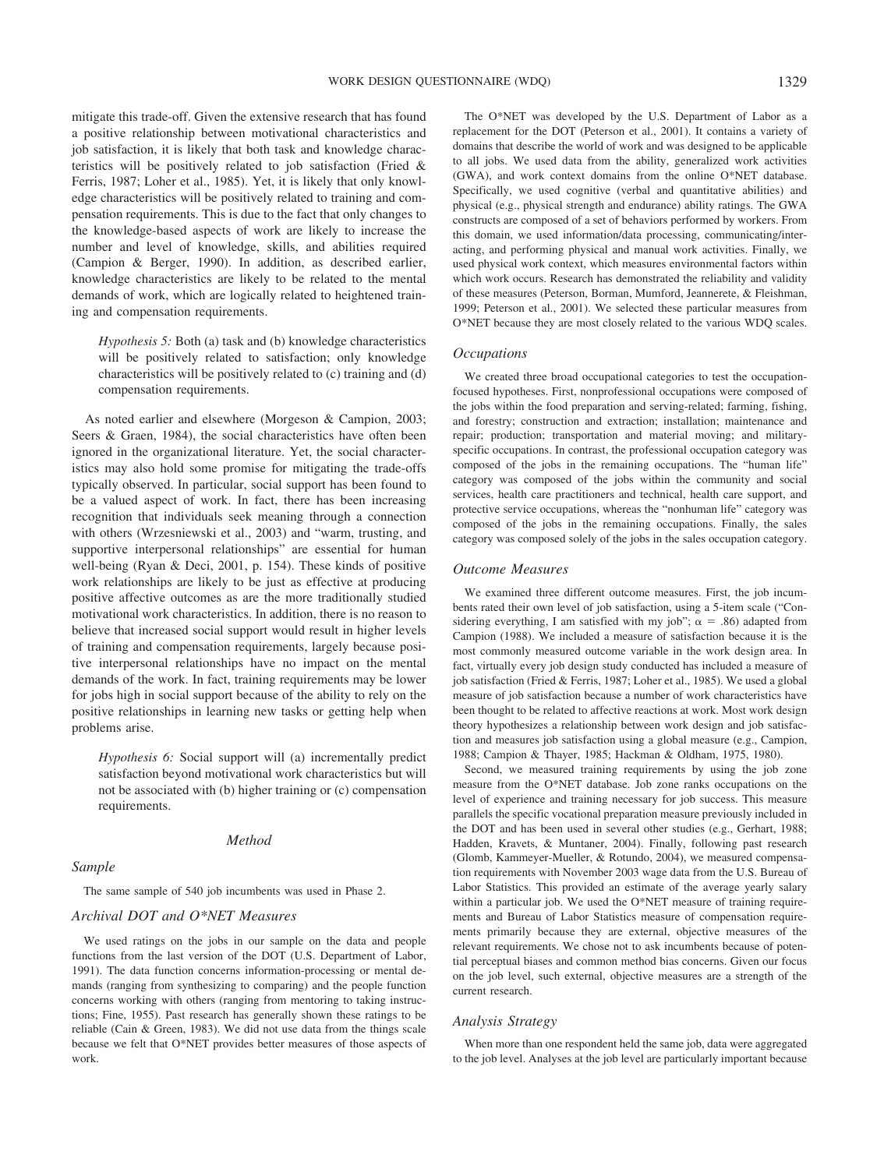mitigate this trade-off. Given the extensive research that has found a positive relationship between motivational characteristics and job satisfaction, it is likely that both task and knowledge characteristics will be positively related to job satisfaction (Fried & Ferris, 1987; Loher et al., 1985). Yet, it is likely that only knowledge characteristics will be positively related to training and compensation requirements. This is due to the fact that only changes to the knowledge-based aspects of work are likely to increase the number and level of knowledge, skills, and abilities required (Campion & Berger, 1990). In addition, as described earlier, knowledge characteristics are likely to be related to the mental demands of work, which are logically related to heightened training and compensation requirements.

*Hypothesis 5:* Both (a) task and (b) knowledge characteristics will be positively related to satisfaction; only knowledge characteristics will be positively related to (c) training and (d) compensation requirements.

As noted earlier and elsewhere (Morgeson & Campion, 2003; Seers & Graen, 1984), the social characteristics have often been ignored in the organizational literature. Yet, the social characteristics may also hold some promise for mitigating the trade-offs typically observed. In particular, social support has been found to be a valued aspect of work. In fact, there has been increasing recognition that individuals seek meaning through a connection with others (Wrzesniewski et al., 2003) and "warm, trusting, and supportive interpersonal relationships" are essential for human well-being (Ryan & Deci, 2001, p. 154). These kinds of positive work relationships are likely to be just as effective at producing positive affective outcomes as are the more traditionally studied motivational work characteristics. In addition, there is no reason to believe that increased social support would result in higher levels of training and compensation requirements, largely because positive interpersonal relationships have no impact on the mental demands of the work. In fact, training requirements may be lower for jobs high in social support because of the ability to rely on the positive relationships in learning new tasks or getting help when problems arise.

*Hypothesis 6:* Social support will (a) incrementally predict satisfaction beyond motivational work characteristics but will not be associated with (b) higher training or (c) compensation requirements.

#### *Method*

## *Sample*

The same sample of 540 job incumbents was used in Phase 2.

# *Archival DOT and O\*NET Measures*

We used ratings on the jobs in our sample on the data and people functions from the last version of the DOT (U.S. Department of Labor, 1991). The data function concerns information-processing or mental demands (ranging from synthesizing to comparing) and the people function concerns working with others (ranging from mentoring to taking instructions; Fine, 1955). Past research has generally shown these ratings to be reliable (Cain & Green, 1983). We did not use data from the things scale because we felt that O\*NET provides better measures of those aspects of work.

The O\*NET was developed by the U.S. Department of Labor as a replacement for the DOT (Peterson et al., 2001). It contains a variety of domains that describe the world of work and was designed to be applicable to all jobs. We used data from the ability, generalized work activities (GWA), and work context domains from the online O\*NET database. Specifically, we used cognitive (verbal and quantitative abilities) and physical (e.g., physical strength and endurance) ability ratings. The GWA constructs are composed of a set of behaviors performed by workers. From this domain, we used information/data processing, communicating/interacting, and performing physical and manual work activities. Finally, we used physical work context, which measures environmental factors within which work occurs. Research has demonstrated the reliability and validity of these measures (Peterson, Borman, Mumford, Jeannerete, & Fleishman, 1999; Peterson et al., 2001). We selected these particular measures from O\*NET because they are most closely related to the various WDQ scales.

#### *Occupations*

We created three broad occupational categories to test the occupationfocused hypotheses. First, nonprofessional occupations were composed of the jobs within the food preparation and serving-related; farming, fishing, and forestry; construction and extraction; installation; maintenance and repair; production; transportation and material moving; and militaryspecific occupations. In contrast, the professional occupation category was composed of the jobs in the remaining occupations. The "human life" category was composed of the jobs within the community and social services, health care practitioners and technical, health care support, and protective service occupations, whereas the "nonhuman life" category was composed of the jobs in the remaining occupations. Finally, the sales category was composed solely of the jobs in the sales occupation category.

#### *Outcome Measures*

We examined three different outcome measures. First, the job incumbents rated their own level of job satisfaction, using a 5-item scale ("Considering everything, I am satisfied with my job";  $\alpha = .86$ ) adapted from Campion (1988). We included a measure of satisfaction because it is the most commonly measured outcome variable in the work design area. In fact, virtually every job design study conducted has included a measure of job satisfaction (Fried & Ferris, 1987; Loher et al., 1985). We used a global measure of job satisfaction because a number of work characteristics have been thought to be related to affective reactions at work. Most work design theory hypothesizes a relationship between work design and job satisfaction and measures job satisfaction using a global measure (e.g., Campion, 1988; Campion & Thayer, 1985; Hackman & Oldham, 1975, 1980).

Second, we measured training requirements by using the job zone measure from the O\*NET database. Job zone ranks occupations on the level of experience and training necessary for job success. This measure parallels the specific vocational preparation measure previously included in the DOT and has been used in several other studies (e.g., Gerhart, 1988; Hadden, Kravets, & Muntaner, 2004). Finally, following past research (Glomb, Kammeyer-Mueller, & Rotundo, 2004), we measured compensation requirements with November 2003 wage data from the U.S. Bureau of Labor Statistics. This provided an estimate of the average yearly salary within a particular job. We used the O\*NET measure of training requirements and Bureau of Labor Statistics measure of compensation requirements primarily because they are external, objective measures of the relevant requirements. We chose not to ask incumbents because of potential perceptual biases and common method bias concerns. Given our focus on the job level, such external, objective measures are a strength of the current research.

## *Analysis Strategy*

When more than one respondent held the same job, data were aggregated to the job level. Analyses at the job level are particularly important because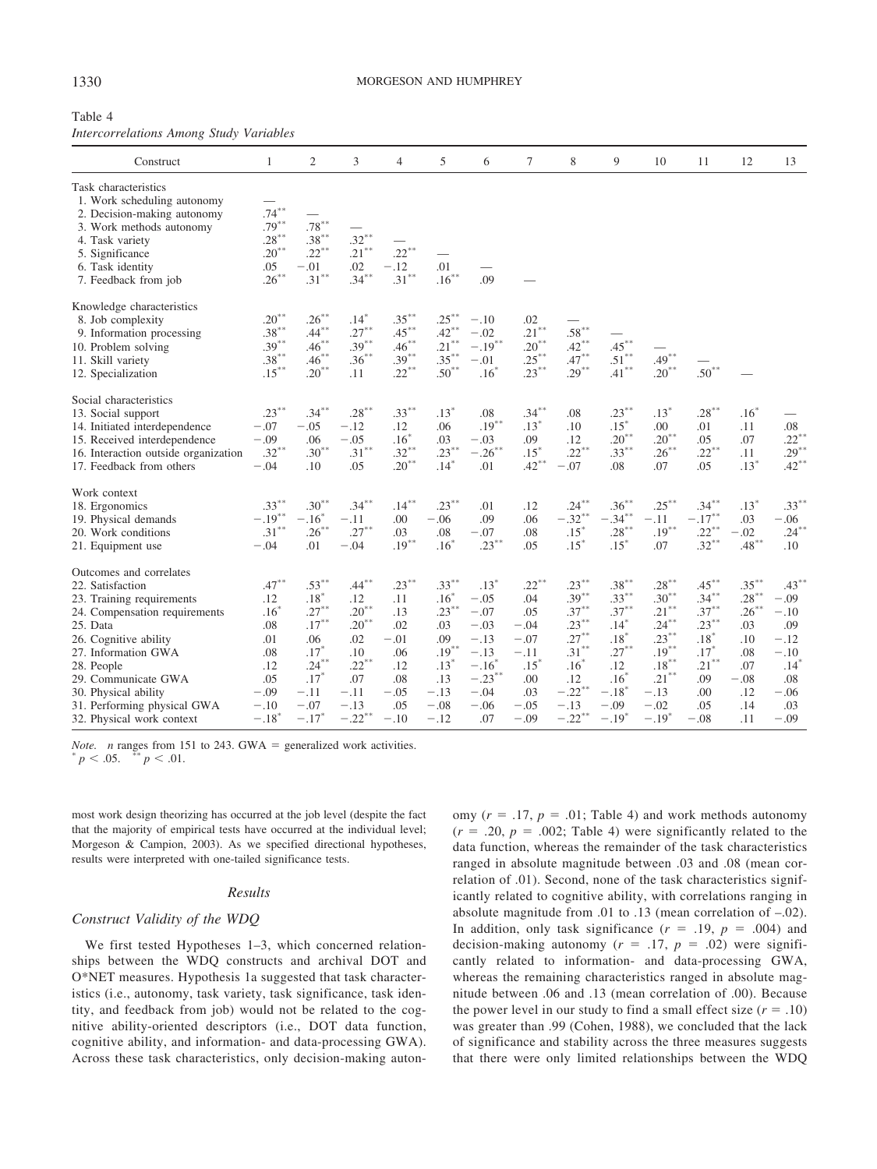| Table 4                                 |  |
|-----------------------------------------|--|
| Intercorrelations Among Study Variables |  |

| Construct                                                                                                                                                                                                                                                                                      | 1                                                                                                                      | $\mathfrak{2}$                                                                                                               | 3                                                                                                         | 4                                                                                       | 5                                                                                                       | 6                                                                                                           | 7                                                                                                | 8                                                                                                                         | 9                                                                                                                                         | 10                                                                                                                                                      | 11                                                                                                          | 12                                                                                                  | 13                                                                                                  |
|------------------------------------------------------------------------------------------------------------------------------------------------------------------------------------------------------------------------------------------------------------------------------------------------|------------------------------------------------------------------------------------------------------------------------|------------------------------------------------------------------------------------------------------------------------------|-----------------------------------------------------------------------------------------------------------|-----------------------------------------------------------------------------------------|---------------------------------------------------------------------------------------------------------|-------------------------------------------------------------------------------------------------------------|--------------------------------------------------------------------------------------------------|---------------------------------------------------------------------------------------------------------------------------|-------------------------------------------------------------------------------------------------------------------------------------------|---------------------------------------------------------------------------------------------------------------------------------------------------------|-------------------------------------------------------------------------------------------------------------|-----------------------------------------------------------------------------------------------------|-----------------------------------------------------------------------------------------------------|
| Task characteristics<br>1. Work scheduling autonomy<br>2. Decision-making autonomy<br>3. Work methods autonomy<br>4. Task variety<br>5. Significance<br>6. Task identity<br>7. Feedback from job                                                                                               | $.74***$<br>$.79***$<br>$.28^{\ast\ast}$<br>$.20***$<br>.05<br>$.26***$                                                | $.78***$<br>$.38^{\ast\ast}$<br>$.22***$<br>$-.01$<br>$.31***$                                                               | $.32***$<br>$.21***$<br>.02<br>$.34***$                                                                   | $.22***$<br>$-.12$<br>$.31***$                                                          | .01<br>$.16***$                                                                                         | .09                                                                                                         |                                                                                                  |                                                                                                                           |                                                                                                                                           |                                                                                                                                                         |                                                                                                             |                                                                                                     |                                                                                                     |
| Knowledge characteristics<br>8. Job complexity<br>9. Information processing<br>10. Problem solving<br>11. Skill variety<br>12. Specialization                                                                                                                                                  | $.20^{\ast\ast}$<br>$.38***$<br>$.39***$<br>$.38***$<br>$.15***$                                                       | $.26***$<br>$.44***$<br>$.46***$<br>$.46***$<br>$.20***$                                                                     | $.14*$<br>$.27***$<br>$.39***$<br>$.36***$<br>.11                                                         | $.35***$<br>$.45***$<br>$.46***$<br>$.39***$<br>$.22***$                                | $.25***$<br>$.42***$<br>$.21^{\ast\ast}$<br>$.35***$<br>$.50***$                                        | $-.10$<br>$-.02$<br>$-.19***$<br>$-.01$<br>$.16*$                                                           | .02<br>$.21^{\ast\ast}$<br>$.20***$<br>$.25***$<br>$.23***$                                      | $.58***$<br>$.42***$<br>$.47***$<br>$.29***$                                                                              | $.45***$<br>$.51^{\ast\ast}$<br>$.41***$                                                                                                  | $.49***$<br>$.20***$                                                                                                                                    | $.50***$                                                                                                    |                                                                                                     |                                                                                                     |
| Social characteristics<br>13. Social support<br>14. Initiated interdependence<br>15. Received interdependence<br>16. Interaction outside organization<br>17. Feedback from others                                                                                                              | $.23***$<br>$-.07$<br>$-.09$<br>$.32***$<br>$-.04$                                                                     | $.34***$<br>$-.05$<br>.06<br>$.30***$<br>.10                                                                                 | $.28***$<br>$-.12$<br>$-.05$<br>$.31***$<br>.05                                                           | $.33***$<br>.12<br>$.16*$<br>$.32***$<br>$.20***$                                       | $.13*$<br>.06<br>.03<br>$.23***$<br>$.14*$                                                              | .08<br>$.19***$<br>$-.03$<br>$-.26***$<br>.01                                                               | $.34***$<br>$.13*$<br>.09<br>$.15*$<br>$.42***$                                                  | .08<br>.10<br>.12<br>$.22***$<br>$-.07$                                                                                   | $.23***$<br>$.15*$<br>$.20***$<br>$.33***$<br>.08                                                                                         | $.13*$<br>.00<br>$.20^{\ast\ast}$<br>$.26***$<br>.07                                                                                                    | $.28***$<br>.01<br>.05<br>$.22***$<br>.05                                                                   | $.16*$<br>.11<br>.07<br>.11<br>$.13*$                                                               | .08<br>$.22***$<br>$.29***$<br>$.42***$                                                             |
| Work context<br>18. Ergonomics<br>19. Physical demands<br>20. Work conditions<br>21. Equipment use                                                                                                                                                                                             | $.33***$<br>$-.19***$<br>$.31***$<br>$-.04$                                                                            | $.30***$<br>$-.16*$<br>$.26***$<br>.01                                                                                       | $.34***$<br>$-.11$<br>$.27***$<br>$-.04$                                                                  | $.14***$<br>.00<br>.03<br>$.19***$                                                      | $.23***$<br>$-.06$<br>.08<br>$.16*$                                                                     | .01<br>.09<br>$-.07$<br>$.23***$                                                                            | .12<br>.06<br>.08<br>.05                                                                         | $.24***$<br>$-.32***$<br>$.15*$<br>$.15*$                                                                                 | $.36***$<br>$-.34***$<br>$.28***$<br>$.15^{\ast}$                                                                                         | $.25***$<br>$-.11$<br>$.19***$<br>.07                                                                                                                   | $.34***$<br>$-.17***$<br>$.22***$<br>$.32***$                                                               | $.13*$<br>.03<br>$-.02$<br>$.48***$                                                                 | $.33***$<br>$-.06$<br>$.24***$<br>.10                                                               |
| Outcomes and correlates<br>22. Satisfaction<br>23. Training requirements<br>24. Compensation requirements<br>25. Data<br>26. Cognitive ability<br>27. Information GWA<br>28. People<br>29. Communicate GWA<br>30. Physical ability<br>31. Performing physical GWA<br>32. Physical work context | $.47^{\ast\ast}$<br>.12<br>$.16^{\circ}$<br>.08<br>.01<br>.08<br>.12<br>.05<br>$-.09$<br>$-.10$<br>$-.18$ <sup>*</sup> | $.53***$<br>$.18*$<br>$.27***$<br>$.17***$<br>.06<br>$.17*$<br>$.24***$<br>$.17*$<br>$-.11$<br>$-.07$<br>$-.17$ <sup>*</sup> | $.44***$<br>.12<br>$.20***$<br>$.20***$<br>.02<br>.10<br>$.22***$<br>.07<br>$-.11$<br>$-.13$<br>$-.22***$ | $.23***$<br>.11<br>.13<br>.02<br>$-.01$<br>.06<br>.12<br>.08<br>$-.05$<br>.05<br>$-.10$ | $.33***$<br>$.16*$<br>$.23***$<br>.03<br>.09<br>$.19***$<br>$.13*$<br>.13<br>$-.13$<br>$-.08$<br>$-.12$ | $.13*$<br>$-.05$<br>$-.07$<br>$-.03$<br>$-.13$<br>$-.13$<br>$-.16*$<br>$-.23***$<br>$-.04$<br>$-.06$<br>.07 | $.22***$<br>.04<br>.05<br>$-.04$<br>$-.07$<br>$-.11$<br>$.15*$<br>.00<br>.03<br>$-.05$<br>$-.09$ | $.23***$<br>$.39***$<br>$.37***$<br>$.23***$<br>$.27***$<br>$.31***$<br>$.16*$<br>.12<br>$-.22***$<br>$-.13$<br>$-.22***$ | $.38***$<br>$.33***$<br>$.37***$<br>$.14*$<br>$.18*$<br>$.27***$<br>.12<br>.16 <sup>°</sup><br>$-.18^{\circ}$<br>$-.09$<br>$-.19^{\circ}$ | $.28***$<br>$.30***$<br>$.21^{\ast\ast}$<br>$.24***$<br>$.23***$<br>$.19***$<br>$.18^{\ast\ast}$<br>$.21***$<br>$-.13$<br>$-.02$<br>$-.19$ <sup>*</sup> | $.45***$<br>$.34***$<br>$.37***$<br>$.23***$<br>$.18*$<br>$.17*$<br>$.21***$<br>.09<br>.00<br>.05<br>$-.08$ | $.35***$<br>$.28^{\ast\ast}$<br>$.26***$<br>.03<br>.10<br>.08<br>.07<br>$-.08$<br>.12<br>.14<br>.11 | $.43***$<br>$-.09$<br>$-.10$<br>.09<br>$-.12$<br>$-.10$<br>$.14*$<br>.08<br>$-.06$<br>.03<br>$-.09$ |

*Note. n* ranges from 151 to 243. GWA = generalized work activities. \*  $p < .05$ . \*\*  $p < .01$ .

most work design theorizing has occurred at the job level (despite the fact that the majority of empirical tests have occurred at the individual level; Morgeson & Campion, 2003). As we specified directional hypotheses, results were interpreted with one-tailed significance tests.

#### *Results*

#### *Construct Validity of the WDQ*

We first tested Hypotheses 1–3, which concerned relationships between the WDQ constructs and archival DOT and O\*NET measures. Hypothesis 1a suggested that task characteristics (i.e., autonomy, task variety, task significance, task identity, and feedback from job) would not be related to the cognitive ability-oriented descriptors (i.e., DOT data function, cognitive ability, and information- and data-processing GWA). Across these task characteristics, only decision-making auton-

omy  $(r = .17, p = .01;$  Table 4) and work methods autonomy  $(r = .20, p = .002;$  Table 4) were significantly related to the data function, whereas the remainder of the task characteristics ranged in absolute magnitude between .03 and .08 (mean correlation of .01). Second, none of the task characteristics significantly related to cognitive ability, with correlations ranging in absolute magnitude from .01 to .13 (mean correlation of –.02). In addition, only task significance  $(r = .19, p = .004)$  and decision-making autonomy  $(r = .17, p = .02)$  were significantly related to information- and data-processing GWA, whereas the remaining characteristics ranged in absolute magnitude between .06 and .13 (mean correlation of .00). Because the power level in our study to find a small effect size  $(r = .10)$ was greater than .99 (Cohen, 1988), we concluded that the lack of significance and stability across the three measures suggests that there were only limited relationships between the WDQ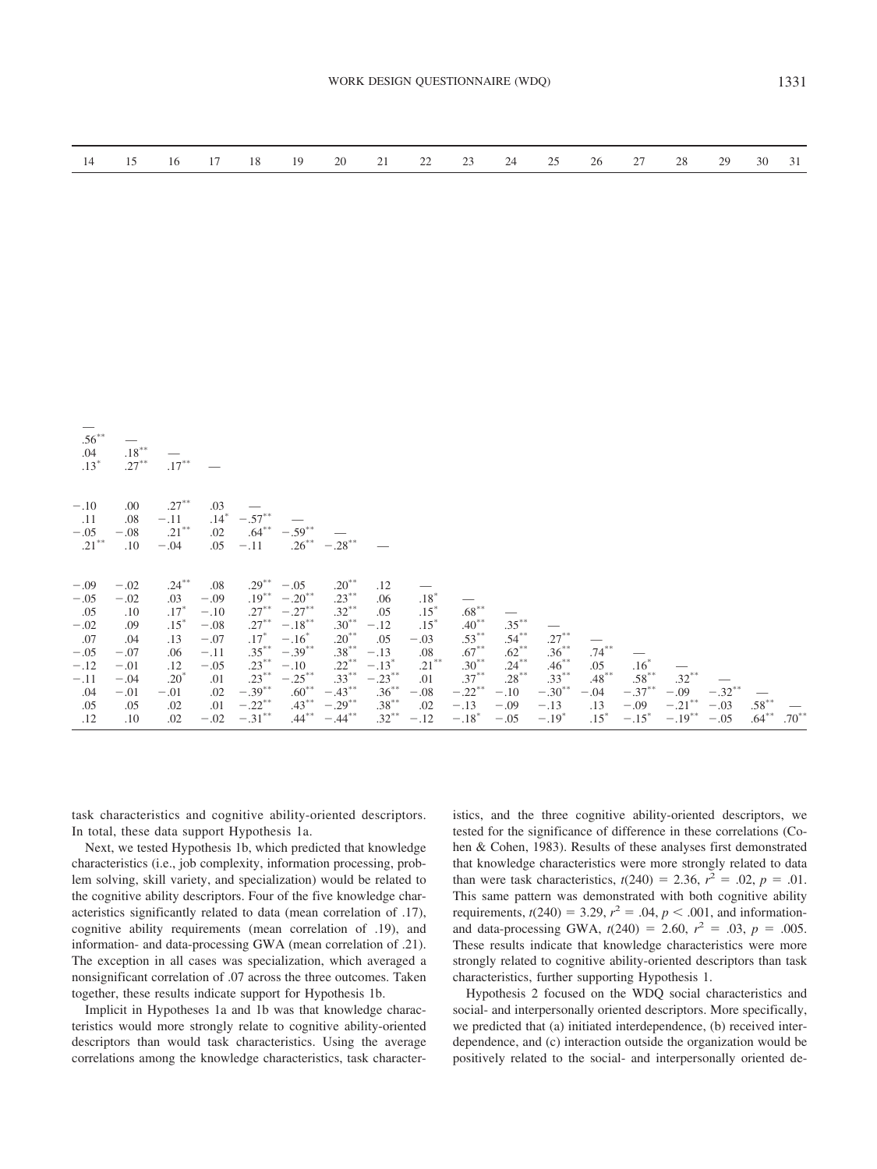|  |  |  |  |  | 14   15   16   17   18   19   20   21   22   23   24   25   26   27   28   29   30   31 |  |  |  |  |
|--|--|--|--|--|-----------------------------------------------------------------------------------------|--|--|--|--|

| $.56***$<br>.04<br>$.13*$                                                                   | $.18^{**}$<br>$.27^{**}$                                                                    | $\frac{1}{17}$                                                                             |                                                                                                |                                                                                                                                   |                                                                                                                                     |                                                                                                                                  |                                                                                                          |                                                                                           |                                                                                                                    |                                                                                        |                                                                               |                                                        |                                                                   |                                                         |                               |                      |          |
|---------------------------------------------------------------------------------------------|---------------------------------------------------------------------------------------------|--------------------------------------------------------------------------------------------|------------------------------------------------------------------------------------------------|-----------------------------------------------------------------------------------------------------------------------------------|-------------------------------------------------------------------------------------------------------------------------------------|----------------------------------------------------------------------------------------------------------------------------------|----------------------------------------------------------------------------------------------------------|-------------------------------------------------------------------------------------------|--------------------------------------------------------------------------------------------------------------------|----------------------------------------------------------------------------------------|-------------------------------------------------------------------------------|--------------------------------------------------------|-------------------------------------------------------------------|---------------------------------------------------------|-------------------------------|----------------------|----------|
| $-.10$<br>.11<br>$-.05$<br>$.21***$                                                         | .00<br>.08<br>$-.08$<br>.10                                                                 | $.27***$<br>$-.11$<br>$.21***$<br>$-.04$                                                   | .03<br>$.14*$<br>.02<br>.05                                                                    | $-.57***$<br>$.64***$<br>$-.11$                                                                                                   | $-.59***$<br>$.26***$                                                                                                               | $-.28***$                                                                                                                        |                                                                                                          |                                                                                           |                                                                                                                    |                                                                                        |                                                                               |                                                        |                                                                   |                                                         |                               |                      |          |
| $-.09$<br>$-.05$<br>.05<br>$-.02$<br>.07<br>$-.05$<br>$-.12$<br>$-.11$<br>.04<br>.05<br>.12 | $-.02$<br>$-.02$<br>.10<br>.09<br>.04<br>$-.07$<br>$-.01$<br>$-.04$<br>$-.01$<br>.05<br>.10 | $.24***$<br>.03<br>$.17*$<br>$.15*$<br>.13<br>.06<br>.12<br>$.20*$<br>$-.01$<br>.02<br>.02 | .08<br>$-.09$<br>$-.10$<br>$-.08$<br>$-.07$<br>$-.11$<br>$-.05$<br>.01<br>.02<br>.01<br>$-.02$ | $.29***$<br>$.19***$<br>$.27***$<br>$.27***$<br>$.17*$<br>$.35***$<br>$.23***$<br>$.23***$<br>$-.39***$<br>$-.22$ **<br>$-.31***$ | $-.05$<br>$-20^{**}$<br>$-27^{**}$<br>$-18^{**}$<br>$-.16*$<br>$-.39***$<br>$-.10$<br>$-.25***$<br>$.60***$<br>$.43***$<br>$.44***$ | $.20***$<br>$.23***$<br>$.32***$<br>$.30***$<br>$.20***$<br>$.38***$<br>$.22***$<br>$.33***$<br>$-43$<br>$-29$<br>$-44$<br>$-44$ | .12<br>.06<br>.05<br>$-.12$<br>.05<br>$-.13$<br>$-.13*$<br>$-.23***$<br>$.36***$<br>$.38***$<br>$.32***$ | $.18*$<br>$.15*$<br>$.15*$<br>$-.03$<br>.08<br>$.21***$<br>.01<br>$-.08$<br>.02<br>$-.12$ | $.68***$<br>$.40***$<br>$.53***$<br>$.67***$<br>$.30***$<br>$.37***$<br>$-.22$ **<br>$-.13$<br>$-.18$ <sup>*</sup> | $.35***$<br>$.54***$<br>$.62***$<br>$.24***$<br>$.28***$<br>$-.10$<br>$-.09$<br>$-.05$ | $.27***$<br>$.36***$<br>$.46***$<br>$.33***$<br>$-.30**$<br>$-.13$<br>$-.19*$ | $.74***$<br>.05<br>$.48***$<br>$-.04$<br>.13<br>$.15*$ | $.16^*$<br>$.58***$<br>$-.37***$<br>$-.09$<br>$-.15$ <sup>*</sup> | $.32***$<br>$-.09$<br>$-.21$ <sup>**</sup><br>$-.19***$ | $-.32***$<br>$-.03$<br>$-.05$ | $.58***$<br>$.64***$ | $.70***$ |

task characteristics and cognitive ability-oriented descriptors. In total, these data support Hypothesis 1a.

Next, we tested Hypothesis 1b, which predicted that knowledge characteristics (i.e., job complexity, information processing, problem solving, skill variety, and specialization) would be related to the cognitive ability descriptors. Four of the five knowledge characteristics significantly related to data (mean correlation of .17), cognitive ability requirements (mean correlation of .19), and information- and data-processing GWA (mean correlation of .21). The exception in all cases was specialization, which averaged a nonsignificant correlation of .07 across the three outcomes. Taken together, these results indicate support for Hypothesis 1b.

Implicit in Hypotheses 1a and 1b was that knowledge characteristics would more strongly relate to cognitive ability-oriented descriptors than would task characteristics. Using the average correlations among the knowledge characteristics, task characteristics, and the three cognitive ability-oriented descriptors, we tested for the significance of difference in these correlations (Cohen & Cohen, 1983). Results of these analyses first demonstrated that knowledge characteristics were more strongly related to data than were task characteristics,  $t(240) = 2.36$ ,  $r^2 = .02$ ,  $p = .01$ . This same pattern was demonstrated with both cognitive ability requirements,  $t(240) = 3.29$ ,  $r^2 = .04$ ,  $p < .001$ , and informationand data-processing GWA,  $t(240) = 2.60$ ,  $r^2 = .03$ ,  $p = .005$ . These results indicate that knowledge characteristics were more strongly related to cognitive ability-oriented descriptors than task characteristics, further supporting Hypothesis 1.

Hypothesis 2 focused on the WDQ social characteristics and social- and interpersonally oriented descriptors. More specifically, we predicted that (a) initiated interdependence, (b) received interdependence, and (c) interaction outside the organization would be positively related to the social- and interpersonally oriented de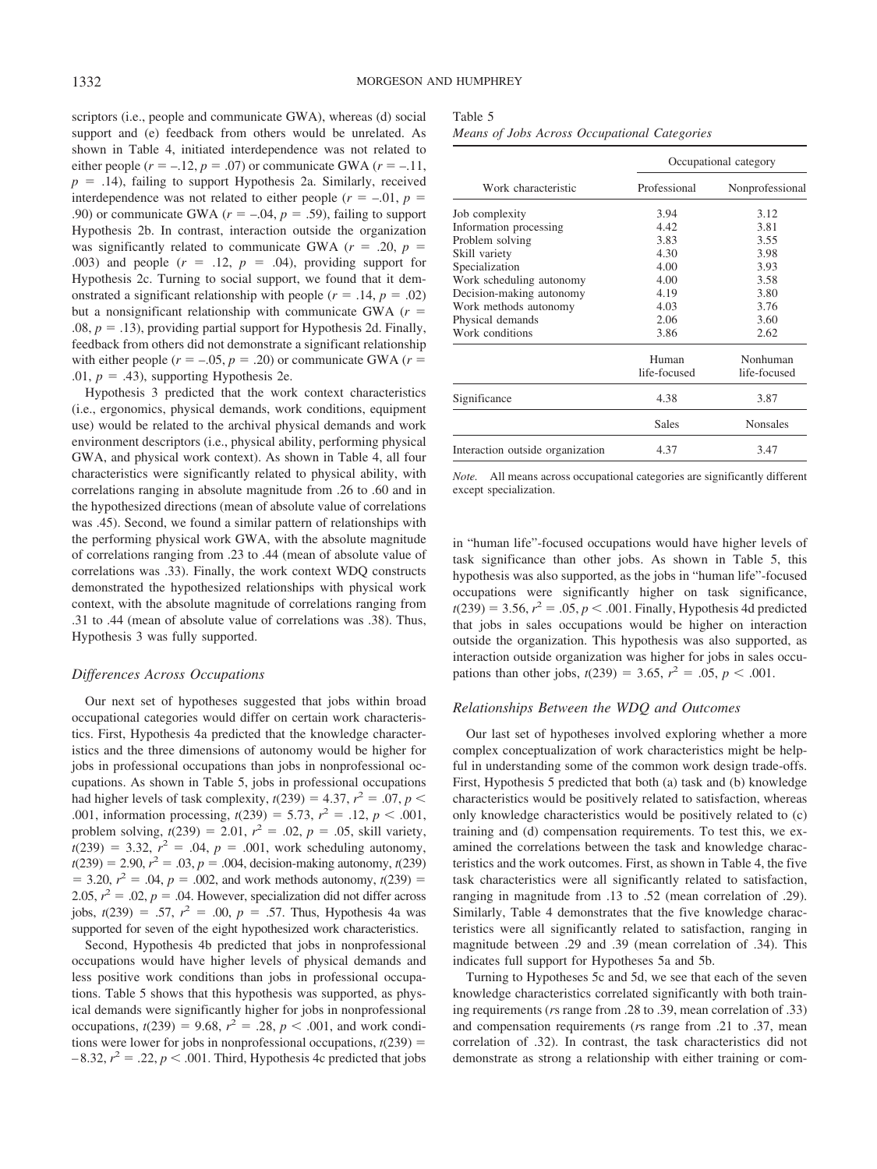scriptors (i.e., people and communicate GWA), whereas (d) social support and (e) feedback from others would be unrelated. As shown in Table 4, initiated interdependence was not related to either people  $(r = -.12, p = .07)$  or communicate GWA  $(r = -.11,$  $p = .14$ ), failing to support Hypothesis 2a. Similarly, received interdependence was not related to either people ( $r = -0.01$ ,  $p =$ .90) or communicate GWA ( $r = -.04$ ,  $p = .59$ ), failing to support Hypothesis 2b. In contrast, interaction outside the organization was significantly related to communicate GWA  $(r = .20, p = )$ .003) and people  $(r = .12, p = .04)$ , providing support for Hypothesis 2c. Turning to social support, we found that it demonstrated a significant relationship with people ( $r = .14$ ,  $p = .02$ ) but a nonsignificant relationship with communicate GWA  $(r =$  $.08, p = .13$ ), providing partial support for Hypothesis 2d. Finally, feedback from others did not demonstrate a significant relationship with either people ( $r = -.05$ ,  $p = .20$ ) or communicate GWA ( $r =$ .01,  $p = .43$ ), supporting Hypothesis 2e.

Hypothesis 3 predicted that the work context characteristics (i.e., ergonomics, physical demands, work conditions, equipment use) would be related to the archival physical demands and work environment descriptors (i.e., physical ability, performing physical GWA, and physical work context). As shown in Table 4, all four characteristics were significantly related to physical ability, with correlations ranging in absolute magnitude from .26 to .60 and in the hypothesized directions (mean of absolute value of correlations was .45). Second, we found a similar pattern of relationships with the performing physical work GWA, with the absolute magnitude of correlations ranging from .23 to .44 (mean of absolute value of correlations was .33). Finally, the work context WDQ constructs demonstrated the hypothesized relationships with physical work context, with the absolute magnitude of correlations ranging from .31 to .44 (mean of absolute value of correlations was .38). Thus, Hypothesis 3 was fully supported.

#### *Differences Across Occupations*

Our next set of hypotheses suggested that jobs within broad occupational categories would differ on certain work characteristics. First, Hypothesis 4a predicted that the knowledge characteristics and the three dimensions of autonomy would be higher for jobs in professional occupations than jobs in nonprofessional occupations. As shown in Table 5, jobs in professional occupations had higher levels of task complexity,  $t(239) = 4.37$ ,  $r^2 = .07$ ,  $p <$ .001, information processing,  $t(239) = 5.73$ ,  $r^2 = .12$ ,  $p < .001$ , problem solving,  $t(239) = 2.01$ ,  $r^2 = .02$ ,  $p = .05$ , skill variety,  $t(239) = 3.32, r^2 = .04, p = .001$ , work scheduling autonomy,  $t(239) = 2.90, r^2 = .03, p = .004,$  decision-making autonomy,  $t(239)$  $=$  3.20,  $r^2 = .04$ ,  $p = .002$ , and work methods autonomy,  $t(239) =$ 2.05,  $r^2 = 0.02$ ,  $p = 0.04$ . However, specialization did not differ across jobs,  $t(239) = .57$ ,  $r^2 = .00$ ,  $p = .57$ . Thus, Hypothesis 4a was supported for seven of the eight hypothesized work characteristics.

Second, Hypothesis 4b predicted that jobs in nonprofessional occupations would have higher levels of physical demands and less positive work conditions than jobs in professional occupations. Table 5 shows that this hypothesis was supported, as physical demands were significantly higher for jobs in nonprofessional occupations,  $t(239) = 9.68$ ,  $r^2 = .28$ ,  $p < .001$ , and work conditions were lower for jobs in nonprofessional occupations,  $t(239)$  =  $-8.32, r<sup>2</sup> = .22, p < .001$ . Third, Hypothesis 4c predicted that jobs

| Table 5                                      |  |
|----------------------------------------------|--|
| Means of Jobs Across Occupational Categories |  |

|                                  | Occupational category |                          |  |  |  |  |  |
|----------------------------------|-----------------------|--------------------------|--|--|--|--|--|
| Work characteristic              | Professional          | Nonprofessional          |  |  |  |  |  |
| Job complexity                   | 3.94                  | 3.12                     |  |  |  |  |  |
| Information processing           | 4.42                  | 3.81                     |  |  |  |  |  |
| Problem solving                  | 3.83                  | 3.55                     |  |  |  |  |  |
| Skill variety                    | 4.30                  | 3.98                     |  |  |  |  |  |
| Specialization                   | 4.00                  | 3.93                     |  |  |  |  |  |
| Work scheduling autonomy         | 4.00                  | 3.58                     |  |  |  |  |  |
| Decision-making autonomy         | 4.19                  | 3.80                     |  |  |  |  |  |
| Work methods autonomy            | 4.03                  | 3.76                     |  |  |  |  |  |
| Physical demands                 | 2.06                  | 3.60                     |  |  |  |  |  |
| Work conditions                  | 3.86                  | 2.62                     |  |  |  |  |  |
|                                  | Human<br>life-focused | Nonhuman<br>life-focused |  |  |  |  |  |
| Significance                     | 4.38                  | 3.87                     |  |  |  |  |  |
|                                  | <b>Sales</b>          | <b>Nonsales</b>          |  |  |  |  |  |
| Interaction outside organization | 4.37                  | 3.47                     |  |  |  |  |  |

*Note.* All means across occupational categories are significantly different except specialization.

in "human life"-focused occupations would have higher levels of task significance than other jobs. As shown in Table 5, this hypothesis was also supported, as the jobs in "human life"-focused occupations were significantly higher on task significance,  $t(239) = 3.56, r^2 = .05, p < .001$ . Finally, Hypothesis 4d predicted that jobs in sales occupations would be higher on interaction outside the organization. This hypothesis was also supported, as interaction outside organization was higher for jobs in sales occupations than other jobs,  $t(239) = 3.65$ ,  $r^2 = .05$ ,  $p < .001$ .

#### *Relationships Between the WDQ and Outcomes*

Our last set of hypotheses involved exploring whether a more complex conceptualization of work characteristics might be helpful in understanding some of the common work design trade-offs. First, Hypothesis 5 predicted that both (a) task and (b) knowledge characteristics would be positively related to satisfaction, whereas only knowledge characteristics would be positively related to (c) training and (d) compensation requirements. To test this, we examined the correlations between the task and knowledge characteristics and the work outcomes. First, as shown in Table 4, the five task characteristics were all significantly related to satisfaction, ranging in magnitude from .13 to .52 (mean correlation of .29). Similarly, Table 4 demonstrates that the five knowledge characteristics were all significantly related to satisfaction, ranging in magnitude between .29 and .39 (mean correlation of .34). This indicates full support for Hypotheses 5a and 5b.

Turning to Hypotheses 5c and 5d, we see that each of the seven knowledge characteristics correlated significantly with both training requirements (*r*s range from .28 to .39, mean correlation of .33) and compensation requirements (*r*s range from .21 to .37, mean correlation of .32). In contrast, the task characteristics did not demonstrate as strong a relationship with either training or com-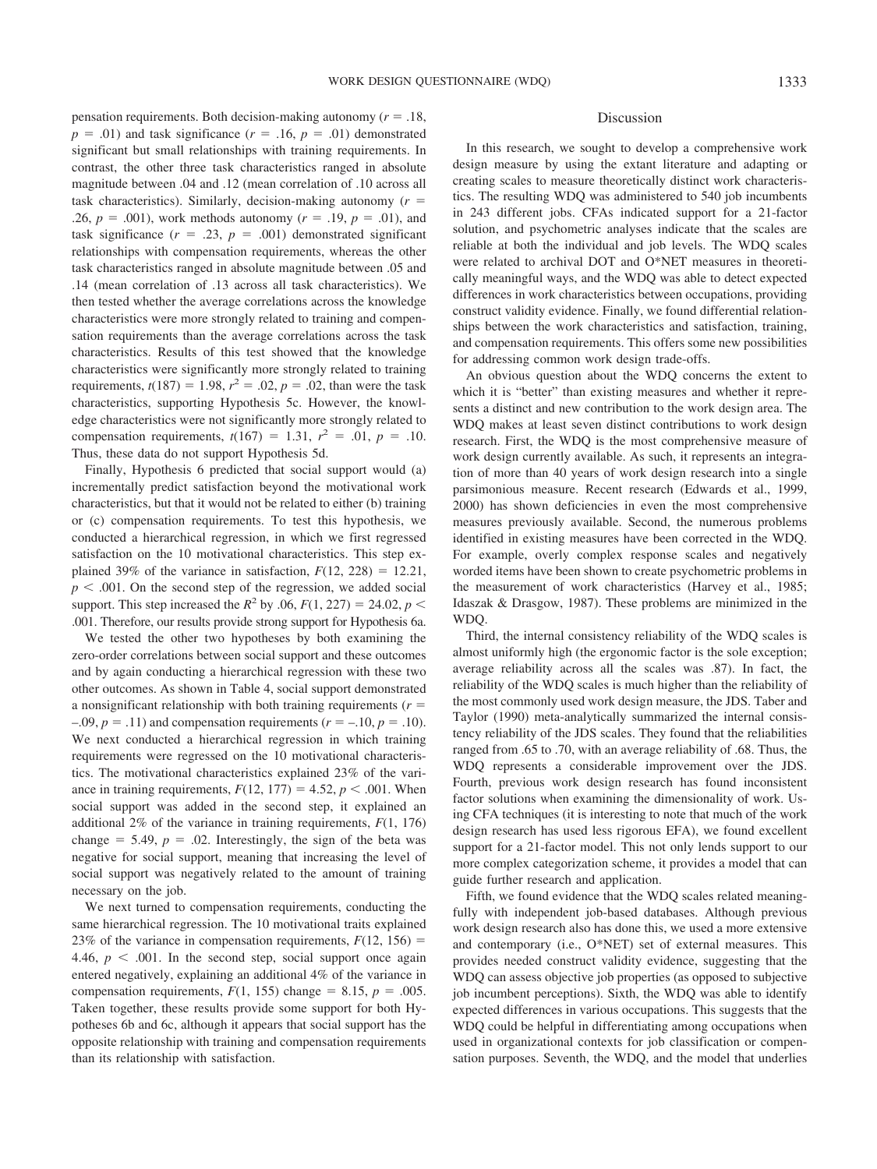pensation requirements. Both decision-making autonomy  $(r = .18, )$  $p = .01$ ) and task significance ( $r = .16$ ,  $p = .01$ ) demonstrated significant but small relationships with training requirements. In contrast, the other three task characteristics ranged in absolute magnitude between .04 and .12 (mean correlation of .10 across all task characteristics). Similarly, decision-making autonomy  $(r =$ .26,  $p = .001$ ), work methods autonomy ( $r = .19$ ,  $p = .01$ ), and task significance  $(r = .23, p = .001)$  demonstrated significant relationships with compensation requirements, whereas the other task characteristics ranged in absolute magnitude between .05 and .14 (mean correlation of .13 across all task characteristics). We then tested whether the average correlations across the knowledge characteristics were more strongly related to training and compensation requirements than the average correlations across the task characteristics. Results of this test showed that the knowledge characteristics were significantly more strongly related to training requirements,  $t(187) = 1.98$ ,  $r^2 = .02$ ,  $p = .02$ , than were the task characteristics, supporting Hypothesis 5c. However, the knowledge characteristics were not significantly more strongly related to compensation requirements,  $t(167) = 1.31$ ,  $r^2 = .01$ ,  $p = .10$ . Thus, these data do not support Hypothesis 5d.

Finally, Hypothesis 6 predicted that social support would (a) incrementally predict satisfaction beyond the motivational work characteristics, but that it would not be related to either (b) training or (c) compensation requirements. To test this hypothesis, we conducted a hierarchical regression, in which we first regressed satisfaction on the 10 motivational characteristics. This step explained 39% of the variance in satisfaction,  $F(12, 228) = 12.21$ ,  $p \leq .001$ . On the second step of the regression, we added social support. This step increased the  $R^2$  by .06,  $F(1, 227) = 24.02$ ,  $p <$ .001. Therefore, our results provide strong support for Hypothesis 6a.

We tested the other two hypotheses by both examining the zero-order correlations between social support and these outcomes and by again conducting a hierarchical regression with these two other outcomes. As shown in Table 4, social support demonstrated a nonsignificant relationship with both training requirements  $(r =$  $(-.09, p = .11)$  and compensation requirements ( $r = -.10, p = .10$ ). We next conducted a hierarchical regression in which training requirements were regressed on the 10 motivational characteristics. The motivational characteristics explained 23% of the variance in training requirements,  $F(12, 177) = 4.52$ ,  $p < .001$ . When social support was added in the second step, it explained an additional 2% of the variance in training requirements, *F*(1, 176) change  $= 5.49$ ,  $p = .02$ . Interestingly, the sign of the beta was negative for social support, meaning that increasing the level of social support was negatively related to the amount of training necessary on the job.

We next turned to compensation requirements, conducting the same hierarchical regression. The 10 motivational traits explained 23% of the variance in compensation requirements,  $F(12, 156) =$ 4.46,  $p < .001$ . In the second step, social support once again entered negatively, explaining an additional 4% of the variance in compensation requirements,  $F(1, 155)$  change = 8.15,  $p = .005$ . Taken together, these results provide some support for both Hypotheses 6b and 6c, although it appears that social support has the opposite relationship with training and compensation requirements than its relationship with satisfaction.

## Discussion

In this research, we sought to develop a comprehensive work design measure by using the extant literature and adapting or creating scales to measure theoretically distinct work characteristics. The resulting WDQ was administered to 540 job incumbents in 243 different jobs. CFAs indicated support for a 21-factor solution, and psychometric analyses indicate that the scales are reliable at both the individual and job levels. The WDQ scales were related to archival DOT and O\*NET measures in theoretically meaningful ways, and the WDQ was able to detect expected differences in work characteristics between occupations, providing construct validity evidence. Finally, we found differential relationships between the work characteristics and satisfaction, training, and compensation requirements. This offers some new possibilities for addressing common work design trade-offs.

An obvious question about the WDQ concerns the extent to which it is "better" than existing measures and whether it represents a distinct and new contribution to the work design area. The WDQ makes at least seven distinct contributions to work design research. First, the WDQ is the most comprehensive measure of work design currently available. As such, it represents an integration of more than 40 years of work design research into a single parsimonious measure. Recent research (Edwards et al., 1999, 2000) has shown deficiencies in even the most comprehensive measures previously available. Second, the numerous problems identified in existing measures have been corrected in the WDQ. For example, overly complex response scales and negatively worded items have been shown to create psychometric problems in the measurement of work characteristics (Harvey et al., 1985; Idaszak & Drasgow, 1987). These problems are minimized in the WDQ.

Third, the internal consistency reliability of the WDQ scales is almost uniformly high (the ergonomic factor is the sole exception; average reliability across all the scales was .87). In fact, the reliability of the WDQ scales is much higher than the reliability of the most commonly used work design measure, the JDS. Taber and Taylor (1990) meta-analytically summarized the internal consistency reliability of the JDS scales. They found that the reliabilities ranged from .65 to .70, with an average reliability of .68. Thus, the WDQ represents a considerable improvement over the JDS. Fourth, previous work design research has found inconsistent factor solutions when examining the dimensionality of work. Using CFA techniques (it is interesting to note that much of the work design research has used less rigorous EFA), we found excellent support for a 21-factor model. This not only lends support to our more complex categorization scheme, it provides a model that can guide further research and application.

Fifth, we found evidence that the WDQ scales related meaningfully with independent job-based databases. Although previous work design research also has done this, we used a more extensive and contemporary (i.e., O\*NET) set of external measures. This provides needed construct validity evidence, suggesting that the WDQ can assess objective job properties (as opposed to subjective job incumbent perceptions). Sixth, the WDQ was able to identify expected differences in various occupations. This suggests that the WDQ could be helpful in differentiating among occupations when used in organizational contexts for job classification or compensation purposes. Seventh, the WDQ, and the model that underlies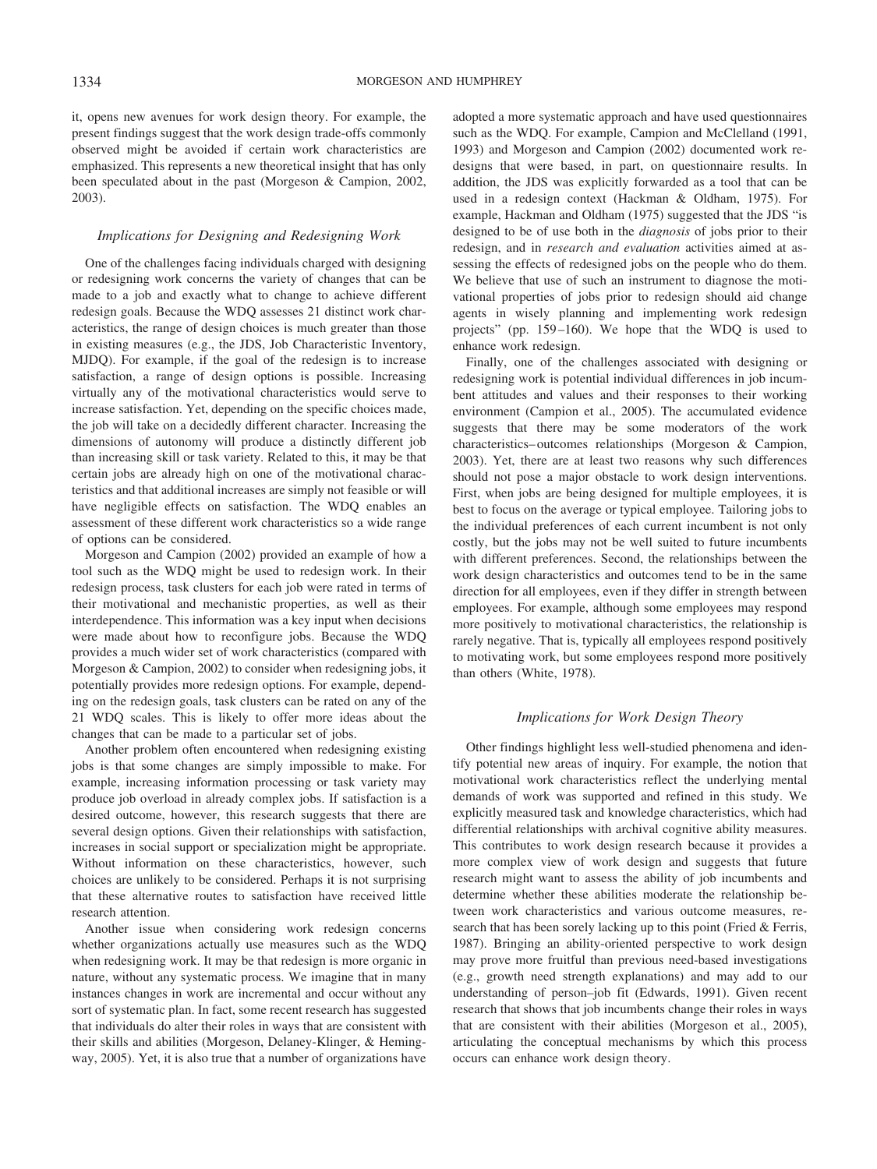it, opens new avenues for work design theory. For example, the present findings suggest that the work design trade-offs commonly observed might be avoided if certain work characteristics are emphasized. This represents a new theoretical insight that has only been speculated about in the past (Morgeson & Campion, 2002, 2003).

## *Implications for Designing and Redesigning Work*

One of the challenges facing individuals charged with designing or redesigning work concerns the variety of changes that can be made to a job and exactly what to change to achieve different redesign goals. Because the WDQ assesses 21 distinct work characteristics, the range of design choices is much greater than those in existing measures (e.g., the JDS, Job Characteristic Inventory, MJDQ). For example, if the goal of the redesign is to increase satisfaction, a range of design options is possible. Increasing virtually any of the motivational characteristics would serve to increase satisfaction. Yet, depending on the specific choices made, the job will take on a decidedly different character. Increasing the dimensions of autonomy will produce a distinctly different job than increasing skill or task variety. Related to this, it may be that certain jobs are already high on one of the motivational characteristics and that additional increases are simply not feasible or will have negligible effects on satisfaction. The WDQ enables an assessment of these different work characteristics so a wide range of options can be considered.

Morgeson and Campion (2002) provided an example of how a tool such as the WDQ might be used to redesign work. In their redesign process, task clusters for each job were rated in terms of their motivational and mechanistic properties, as well as their interdependence. This information was a key input when decisions were made about how to reconfigure jobs. Because the WDQ provides a much wider set of work characteristics (compared with Morgeson & Campion, 2002) to consider when redesigning jobs, it potentially provides more redesign options. For example, depending on the redesign goals, task clusters can be rated on any of the 21 WDQ scales. This is likely to offer more ideas about the changes that can be made to a particular set of jobs.

Another problem often encountered when redesigning existing jobs is that some changes are simply impossible to make. For example, increasing information processing or task variety may produce job overload in already complex jobs. If satisfaction is a desired outcome, however, this research suggests that there are several design options. Given their relationships with satisfaction, increases in social support or specialization might be appropriate. Without information on these characteristics, however, such choices are unlikely to be considered. Perhaps it is not surprising that these alternative routes to satisfaction have received little research attention.

Another issue when considering work redesign concerns whether organizations actually use measures such as the WDQ when redesigning work. It may be that redesign is more organic in nature, without any systematic process. We imagine that in many instances changes in work are incremental and occur without any sort of systematic plan. In fact, some recent research has suggested that individuals do alter their roles in ways that are consistent with their skills and abilities (Morgeson, Delaney-Klinger, & Hemingway, 2005). Yet, it is also true that a number of organizations have adopted a more systematic approach and have used questionnaires such as the WDQ. For example, Campion and McClelland (1991, 1993) and Morgeson and Campion (2002) documented work redesigns that were based, in part, on questionnaire results. In addition, the JDS was explicitly forwarded as a tool that can be used in a redesign context (Hackman & Oldham, 1975). For example, Hackman and Oldham (1975) suggested that the JDS "is designed to be of use both in the *diagnosis* of jobs prior to their redesign, and in *research and evaluation* activities aimed at assessing the effects of redesigned jobs on the people who do them. We believe that use of such an instrument to diagnose the motivational properties of jobs prior to redesign should aid change agents in wisely planning and implementing work redesign projects" (pp. 159 –160). We hope that the WDQ is used to enhance work redesign.

Finally, one of the challenges associated with designing or redesigning work is potential individual differences in job incumbent attitudes and values and their responses to their working environment (Campion et al., 2005). The accumulated evidence suggests that there may be some moderators of the work characteristics– outcomes relationships (Morgeson & Campion, 2003). Yet, there are at least two reasons why such differences should not pose a major obstacle to work design interventions. First, when jobs are being designed for multiple employees, it is best to focus on the average or typical employee. Tailoring jobs to the individual preferences of each current incumbent is not only costly, but the jobs may not be well suited to future incumbents with different preferences. Second, the relationships between the work design characteristics and outcomes tend to be in the same direction for all employees, even if they differ in strength between employees. For example, although some employees may respond more positively to motivational characteristics, the relationship is rarely negative. That is, typically all employees respond positively to motivating work, but some employees respond more positively than others (White, 1978).

#### *Implications for Work Design Theory*

Other findings highlight less well-studied phenomena and identify potential new areas of inquiry. For example, the notion that motivational work characteristics reflect the underlying mental demands of work was supported and refined in this study. We explicitly measured task and knowledge characteristics, which had differential relationships with archival cognitive ability measures. This contributes to work design research because it provides a more complex view of work design and suggests that future research might want to assess the ability of job incumbents and determine whether these abilities moderate the relationship between work characteristics and various outcome measures, research that has been sorely lacking up to this point (Fried & Ferris, 1987). Bringing an ability-oriented perspective to work design may prove more fruitful than previous need-based investigations (e.g., growth need strength explanations) and may add to our understanding of person–job fit (Edwards, 1991). Given recent research that shows that job incumbents change their roles in ways that are consistent with their abilities (Morgeson et al., 2005), articulating the conceptual mechanisms by which this process occurs can enhance work design theory.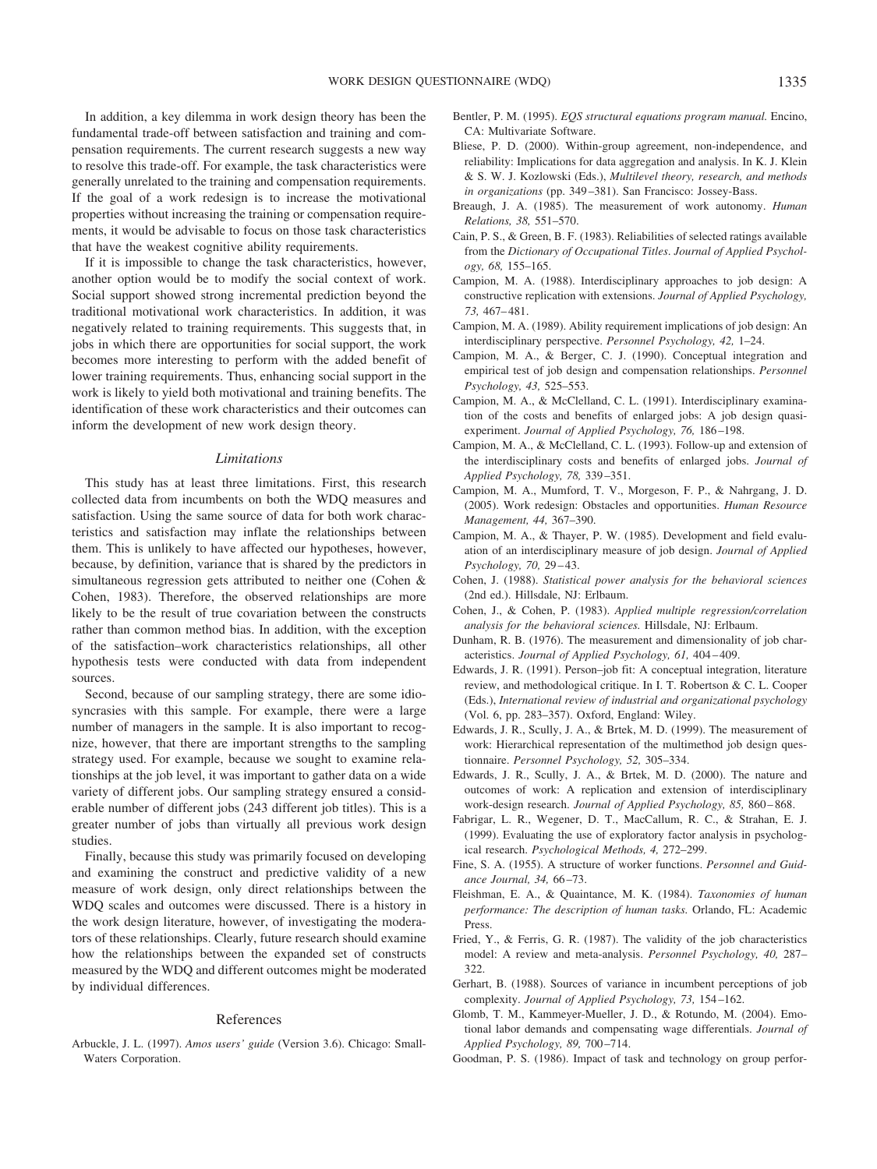In addition, a key dilemma in work design theory has been the fundamental trade-off between satisfaction and training and compensation requirements. The current research suggests a new way to resolve this trade-off. For example, the task characteristics were generally unrelated to the training and compensation requirements. If the goal of a work redesign is to increase the motivational properties without increasing the training or compensation requirements, it would be advisable to focus on those task characteristics that have the weakest cognitive ability requirements.

If it is impossible to change the task characteristics, however, another option would be to modify the social context of work. Social support showed strong incremental prediction beyond the traditional motivational work characteristics. In addition, it was negatively related to training requirements. This suggests that, in jobs in which there are opportunities for social support, the work becomes more interesting to perform with the added benefit of lower training requirements. Thus, enhancing social support in the work is likely to yield both motivational and training benefits. The identification of these work characteristics and their outcomes can inform the development of new work design theory.

#### *Limitations*

This study has at least three limitations. First, this research collected data from incumbents on both the WDQ measures and satisfaction. Using the same source of data for both work characteristics and satisfaction may inflate the relationships between them. This is unlikely to have affected our hypotheses, however, because, by definition, variance that is shared by the predictors in simultaneous regression gets attributed to neither one (Cohen & Cohen, 1983). Therefore, the observed relationships are more likely to be the result of true covariation between the constructs rather than common method bias. In addition, with the exception of the satisfaction–work characteristics relationships, all other hypothesis tests were conducted with data from independent sources.

Second, because of our sampling strategy, there are some idiosyncrasies with this sample. For example, there were a large number of managers in the sample. It is also important to recognize, however, that there are important strengths to the sampling strategy used. For example, because we sought to examine relationships at the job level, it was important to gather data on a wide variety of different jobs. Our sampling strategy ensured a considerable number of different jobs (243 different job titles). This is a greater number of jobs than virtually all previous work design studies.

Finally, because this study was primarily focused on developing and examining the construct and predictive validity of a new measure of work design, only direct relationships between the WDQ scales and outcomes were discussed. There is a history in the work design literature, however, of investigating the moderators of these relationships. Clearly, future research should examine how the relationships between the expanded set of constructs measured by the WDQ and different outcomes might be moderated by individual differences.

#### References

Arbuckle, J. L. (1997). *Amos users' guide* (Version 3.6). Chicago: Small-Waters Corporation.

- Bentler, P. M. (1995). *EQS structural equations program manual.* Encino, CA: Multivariate Software.
- Bliese, P. D. (2000). Within-group agreement, non-independence, and reliability: Implications for data aggregation and analysis. In K. J. Klein & S. W. J. Kozlowski (Eds.), *Multilevel theory, research, and methods in organizations* (pp. 349 –381). San Francisco: Jossey-Bass.
- Breaugh, J. A. (1985). The measurement of work autonomy. *Human Relations, 38,* 551–570.
- Cain, P. S., & Green, B. F. (1983). Reliabilities of selected ratings available from the *Dictionary of Occupational Titles*. *Journal of Applied Psychology, 68,* 155–165.
- Campion, M. A. (1988). Interdisciplinary approaches to job design: A constructive replication with extensions. *Journal of Applied Psychology, 73,* 467– 481.
- Campion, M. A. (1989). Ability requirement implications of job design: An interdisciplinary perspective. *Personnel Psychology, 42,* 1–24.
- Campion, M. A., & Berger, C. J. (1990). Conceptual integration and empirical test of job design and compensation relationships. *Personnel Psychology, 43,* 525–553.
- Campion, M. A., & McClelland, C. L. (1991). Interdisciplinary examination of the costs and benefits of enlarged jobs: A job design quasiexperiment. *Journal of Applied Psychology, 76, 186-198*.
- Campion, M. A., & McClelland, C. L. (1993). Follow-up and extension of the interdisciplinary costs and benefits of enlarged jobs. *Journal of Applied Psychology, 78,* 339 –351.
- Campion, M. A., Mumford, T. V., Morgeson, F. P., & Nahrgang, J. D. (2005). Work redesign: Obstacles and opportunities. *Human Resource Management, 44,* 367–390.
- Campion, M. A., & Thayer, P. W. (1985). Development and field evaluation of an interdisciplinary measure of job design. *Journal of Applied Psychology, 70,* 29 – 43.
- Cohen, J. (1988). *Statistical power analysis for the behavioral sciences* (2nd ed.). Hillsdale, NJ: Erlbaum.
- Cohen, J., & Cohen, P. (1983). *Applied multiple regression/correlation analysis for the behavioral sciences.* Hillsdale, NJ: Erlbaum.
- Dunham, R. B. (1976). The measurement and dimensionality of job characteristics. *Journal of Applied Psychology, 61,* 404 – 409.
- Edwards, J. R. (1991). Person–job fit: A conceptual integration, literature review, and methodological critique. In I. T. Robertson & C. L. Cooper (Eds.), *International review of industrial and organizational psychology* (Vol. 6, pp. 283–357). Oxford, England: Wiley.
- Edwards, J. R., Scully, J. A., & Brtek, M. D. (1999). The measurement of work: Hierarchical representation of the multimethod job design questionnaire. *Personnel Psychology, 52,* 305–334.
- Edwards, J. R., Scully, J. A., & Brtek, M. D. (2000). The nature and outcomes of work: A replication and extension of interdisciplinary work-design research. *Journal of Applied Psychology, 85,* 860 – 868.
- Fabrigar, L. R., Wegener, D. T., MacCallum, R. C., & Strahan, E. J. (1999). Evaluating the use of exploratory factor analysis in psychological research. *Psychological Methods, 4,* 272–299.
- Fine, S. A. (1955). A structure of worker functions. *Personnel and Guidance Journal, 34,* 66 –73.
- Fleishman, E. A., & Quaintance, M. K. (1984). *Taxonomies of human performance: The description of human tasks.* Orlando, FL: Academic Press.
- Fried, Y., & Ferris, G. R. (1987). The validity of the job characteristics model: A review and meta-analysis. *Personnel Psychology, 40,* 287– 322.
- Gerhart, B. (1988). Sources of variance in incumbent perceptions of job complexity. *Journal of Applied Psychology, 73,* 154 –162.
- Glomb, T. M., Kammeyer-Mueller, J. D., & Rotundo, M. (2004). Emotional labor demands and compensating wage differentials. *Journal of Applied Psychology, 89,* 700 –714.
- Goodman, P. S. (1986). Impact of task and technology on group perfor-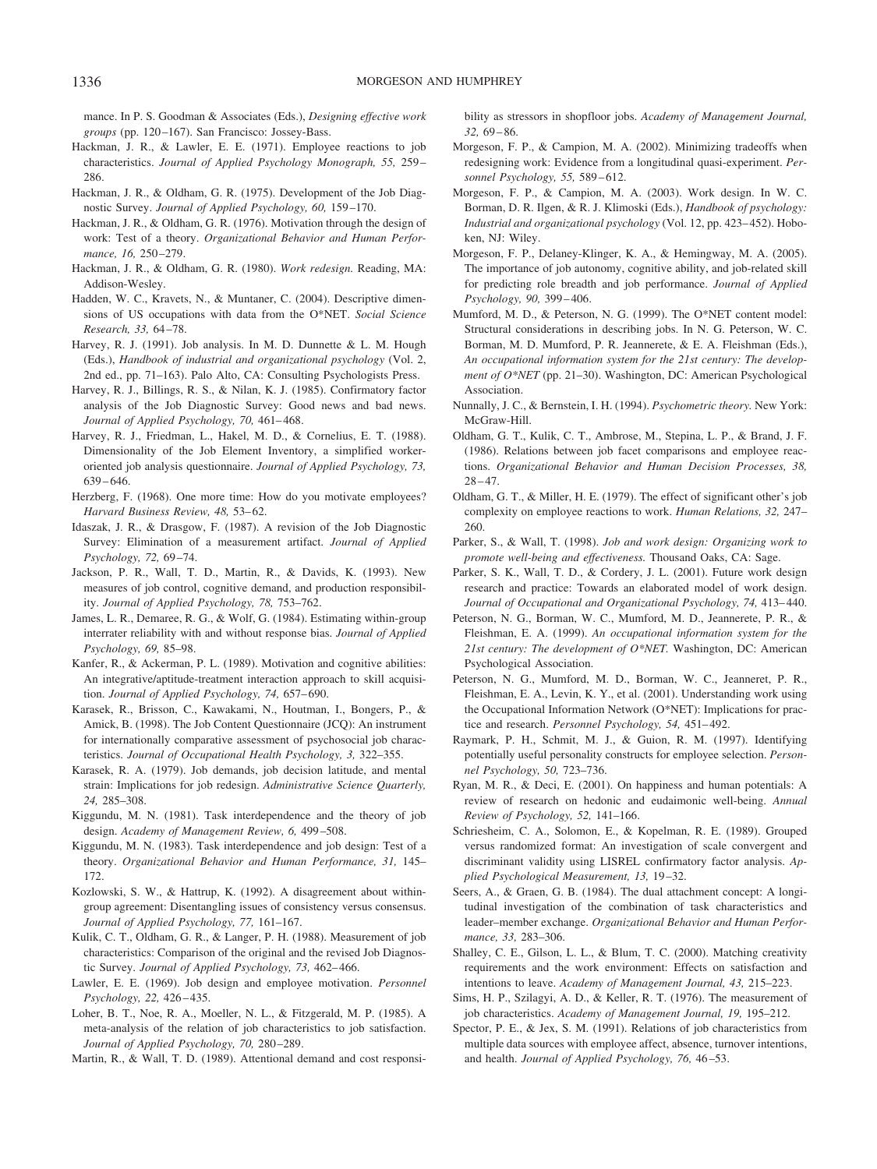mance. In P. S. Goodman & Associates (Eds.), *Designing effective work* groups (pp. 120-167). San Francisco: Jossey-Bass.

- Hackman, J. R., & Lawler, E. E. (1971). Employee reactions to job characteristics. *Journal of Applied Psychology Monograph, 55,* 259 – 286.
- Hackman, J. R., & Oldham, G. R. (1975). Development of the Job Diagnostic Survey. *Journal of Applied Psychology, 60,* 159 –170.
- Hackman, J. R., & Oldham, G. R. (1976). Motivation through the design of work: Test of a theory. *Organizational Behavior and Human Performance, 16,* 250 –279.
- Hackman, J. R., & Oldham, G. R. (1980). *Work redesign.* Reading, MA: Addison-Wesley.
- Hadden, W. C., Kravets, N., & Muntaner, C. (2004). Descriptive dimensions of US occupations with data from the O\*NET. *Social Science Research, 33,* 64 –78.
- Harvey, R. J. (1991). Job analysis. In M. D. Dunnette & L. M. Hough (Eds.), *Handbook of industrial and organizational psychology* (Vol. 2, 2nd ed., pp. 71–163). Palo Alto, CA: Consulting Psychologists Press.
- Harvey, R. J., Billings, R. S., & Nilan, K. J. (1985). Confirmatory factor analysis of the Job Diagnostic Survey: Good news and bad news. *Journal of Applied Psychology, 70,* 461– 468.
- Harvey, R. J., Friedman, L., Hakel, M. D., & Cornelius, E. T. (1988). Dimensionality of the Job Element Inventory, a simplified workeroriented job analysis questionnaire. *Journal of Applied Psychology, 73,* 639 – 646.
- Herzberg, F. (1968). One more time: How do you motivate employees? *Harvard Business Review, 48,* 53– 62.
- Idaszak, J. R., & Drasgow, F. (1987). A revision of the Job Diagnostic Survey: Elimination of a measurement artifact. *Journal of Applied Psychology, 72,* 69 –74.
- Jackson, P. R., Wall, T. D., Martin, R., & Davids, K. (1993). New measures of job control, cognitive demand, and production responsibility. *Journal of Applied Psychology, 78,* 753–762.
- James, L. R., Demaree, R. G., & Wolf, G. (1984). Estimating within-group interrater reliability with and without response bias. *Journal of Applied Psychology, 69,* 85–98.
- Kanfer, R., & Ackerman, P. L. (1989). Motivation and cognitive abilities: An integrative/aptitude-treatment interaction approach to skill acquisition. *Journal of Applied Psychology, 74,* 657– 690.
- Karasek, R., Brisson, C., Kawakami, N., Houtman, I., Bongers, P., & Amick, B. (1998). The Job Content Questionnaire (JCQ): An instrument for internationally comparative assessment of psychosocial job characteristics. *Journal of Occupational Health Psychology, 3,* 322–355.
- Karasek, R. A. (1979). Job demands, job decision latitude, and mental strain: Implications for job redesign. *Administrative Science Quarterly, 24,* 285–308.
- Kiggundu, M. N. (1981). Task interdependence and the theory of job design. *Academy of Management Review, 6,* 499 –508.
- Kiggundu, M. N. (1983). Task interdependence and job design: Test of a theory. *Organizational Behavior and Human Performance, 31,* 145– 172.
- Kozlowski, S. W., & Hattrup, K. (1992). A disagreement about withingroup agreement: Disentangling issues of consistency versus consensus. *Journal of Applied Psychology, 77,* 161–167.
- Kulik, C. T., Oldham, G. R., & Langer, P. H. (1988). Measurement of job characteristics: Comparison of the original and the revised Job Diagnostic Survey. *Journal of Applied Psychology, 73,* 462– 466.
- Lawler, E. E. (1969). Job design and employee motivation. *Personnel Psychology, 22,* 426 – 435.
- Loher, B. T., Noe, R. A., Moeller, N. L., & Fitzgerald, M. P. (1985). A meta-analysis of the relation of job characteristics to job satisfaction. *Journal of Applied Psychology, 70,* 280 –289.

Martin, R., & Wall, T. D. (1989). Attentional demand and cost responsi-

bility as stressors in shopfloor jobs. *Academy of Management Journal, 32,* 69 – 86.

- Morgeson, F. P., & Campion, M. A. (2002). Minimizing tradeoffs when redesigning work: Evidence from a longitudinal quasi-experiment. *Personnel Psychology, 55,* 589 – 612.
- Morgeson, F. P., & Campion, M. A. (2003). Work design. In W. C. Borman, D. R. Ilgen, & R. J. Klimoski (Eds.), *Handbook of psychology: Industrial and organizational psychology* (Vol. 12, pp. 423– 452). Hoboken, NJ: Wiley.
- Morgeson, F. P., Delaney-Klinger, K. A., & Hemingway, M. A. (2005). The importance of job autonomy, cognitive ability, and job-related skill for predicting role breadth and job performance. *Journal of Applied Psychology, 90,* 399 – 406.
- Mumford, M. D., & Peterson, N. G. (1999). The O\*NET content model: Structural considerations in describing jobs. In N. G. Peterson, W. C. Borman, M. D. Mumford, P. R. Jeannerete, & E. A. Fleishman (Eds.), *An occupational information system for the 21st century: The development of O\*NET* (pp. 21–30). Washington, DC: American Psychological Association.
- Nunnally, J. C., & Bernstein, I. H. (1994). *Psychometric theory.* New York: McGraw-Hill.
- Oldham, G. T., Kulik, C. T., Ambrose, M., Stepina, L. P., & Brand, J. F. (1986). Relations between job facet comparisons and employee reactions. *Organizational Behavior and Human Decision Processes, 38,*  $28 - 47$ .
- Oldham, G. T., & Miller, H. E. (1979). The effect of significant other's job complexity on employee reactions to work. *Human Relations, 32,* 247– 260.
- Parker, S., & Wall, T. (1998). *Job and work design: Organizing work to promote well-being and effectiveness.* Thousand Oaks, CA: Sage.
- Parker, S. K., Wall, T. D., & Cordery, J. L. (2001). Future work design research and practice: Towards an elaborated model of work design. *Journal of Occupational and Organizational Psychology, 74,* 413– 440.
- Peterson, N. G., Borman, W. C., Mumford, M. D., Jeannerete, P. R., & Fleishman, E. A. (1999). *An occupational information system for the 21st century: The development of O\*NET.* Washington, DC: American Psychological Association.
- Peterson, N. G., Mumford, M. D., Borman, W. C., Jeanneret, P. R., Fleishman, E. A., Levin, K. Y., et al. (2001). Understanding work using the Occupational Information Network (O\*NET): Implications for practice and research. *Personnel Psychology, 54,* 451– 492.
- Raymark, P. H., Schmit, M. J., & Guion, R. M. (1997). Identifying potentially useful personality constructs for employee selection. *Personnel Psychology, 50,* 723–736.
- Ryan, M. R., & Deci, E. (2001). On happiness and human potentials: A review of research on hedonic and eudaimonic well-being. *Annual Review of Psychology, 52,* 141–166.
- Schriesheim, C. A., Solomon, E., & Kopelman, R. E. (1989). Grouped versus randomized format: An investigation of scale convergent and discriminant validity using LISREL confirmatory factor analysis. *Applied Psychological Measurement, 13,* 19 –32.
- Seers, A., & Graen, G. B. (1984). The dual attachment concept: A longitudinal investigation of the combination of task characteristics and leader–member exchange. *Organizational Behavior and Human Performance, 33,* 283–306.
- Shalley, C. E., Gilson, L. L., & Blum, T. C. (2000). Matching creativity requirements and the work environment: Effects on satisfaction and intentions to leave. *Academy of Management Journal, 43,* 215–223.
- Sims, H. P., Szilagyi, A. D., & Keller, R. T. (1976). The measurement of job characteristics. *Academy of Management Journal, 19,* 195–212.
- Spector, P. E., & Jex, S. M. (1991). Relations of job characteristics from multiple data sources with employee affect, absence, turnover intentions, and health. *Journal of Applied Psychology, 76,* 46 –53.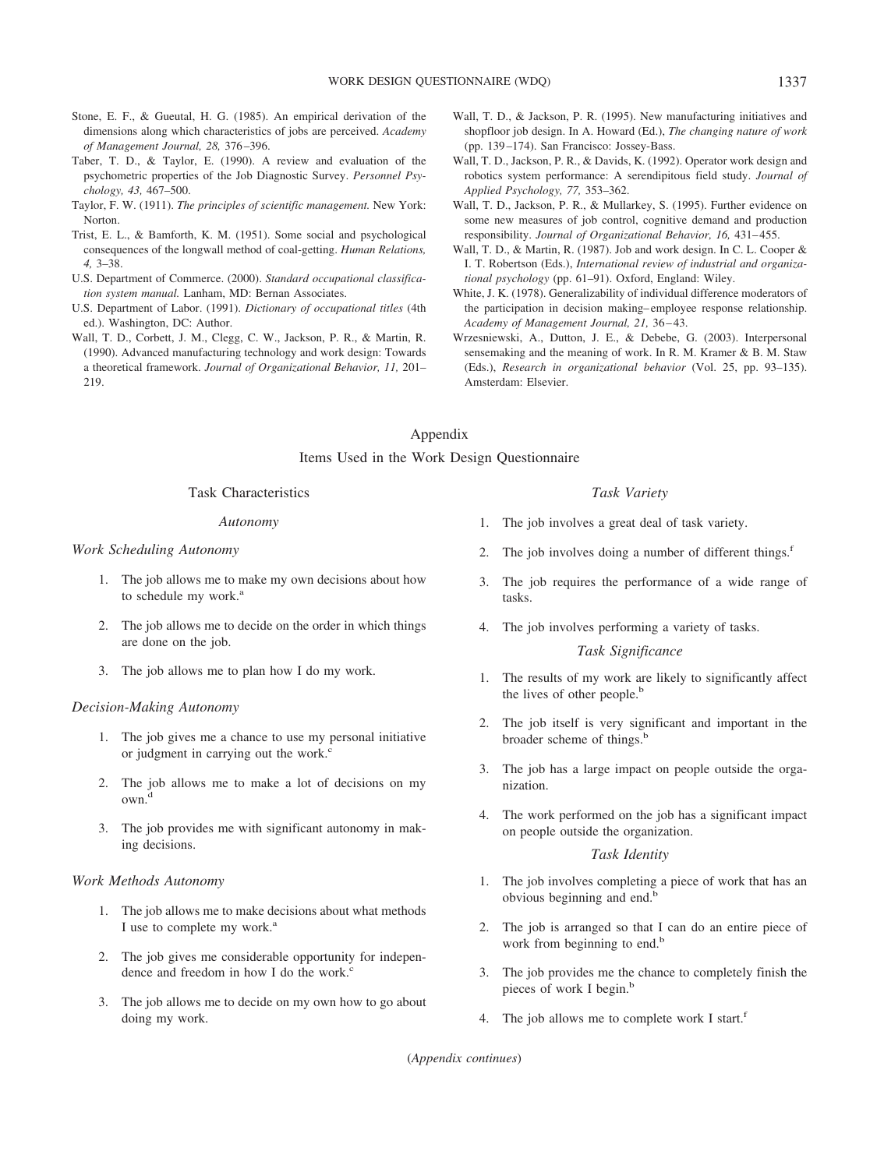- Stone, E. F., & Gueutal, H. G. (1985). An empirical derivation of the dimensions along which characteristics of jobs are perceived. *Academy of Management Journal, 28,* 376 –396.
- Taber, T. D., & Taylor, E. (1990). A review and evaluation of the psychometric properties of the Job Diagnostic Survey. *Personnel Psychology, 43,* 467–500.
- Taylor, F. W. (1911). *The principles of scientific management.* New York: Norton.
- Trist, E. L., & Bamforth, K. M. (1951). Some social and psychological consequences of the longwall method of coal-getting. *Human Relations, 4,* 3–38.
- U.S. Department of Commerce. (2000). *Standard occupational classification system manual.* Lanham, MD: Bernan Associates.
- U.S. Department of Labor. (1991). *Dictionary of occupational titles* (4th ed.). Washington, DC: Author.
- Wall, T. D., Corbett, J. M., Clegg, C. W., Jackson, P. R., & Martin, R. (1990). Advanced manufacturing technology and work design: Towards a theoretical framework. *Journal of Organizational Behavior, 11,* 201– 219.
- Wall, T. D., & Jackson, P. R. (1995). New manufacturing initiatives and shopfloor job design. In A. Howard (Ed.), *The changing nature of work* (pp. 139 –174). San Francisco: Jossey-Bass.
- Wall, T. D., Jackson, P. R., & Davids, K. (1992). Operator work design and robotics system performance: A serendipitous field study. *Journal of Applied Psychology, 77,* 353–362.
- Wall, T. D., Jackson, P. R., & Mullarkey, S. (1995). Further evidence on some new measures of job control, cognitive demand and production responsibility. *Journal of Organizational Behavior*, 16, 431-455.
- Wall, T. D., & Martin, R. (1987). Job and work design. In C. L. Cooper & I. T. Robertson (Eds.), *International review of industrial and organizational psychology* (pp. 61–91). Oxford, England: Wiley.
- White, J. K. (1978). Generalizability of individual difference moderators of the participation in decision making– employee response relationship. *Academy of Management Journal, 21,* 36 – 43.
- Wrzesniewski, A., Dutton, J. E., & Debebe, G. (2003). Interpersonal sensemaking and the meaning of work. In R. M. Kramer & B. M. Staw (Eds.), *Research in organizational behavior* (Vol. 25, pp. 93–135). Amsterdam: Elsevier.

## Appendix

## Items Used in the Work Design Questionnaire

## Task Characteristics

#### *Autonomy*

## *Work Scheduling Autonomy*

- 1. The job allows me to make my own decisions about how to schedule my work.<sup>a</sup>
- 2. The job allows me to decide on the order in which things are done on the job.
- 3. The job allows me to plan how I do my work.

## *Decision-Making Autonomy*

- 1. The job gives me a chance to use my personal initiative or judgment in carrying out the work.<sup>c</sup>
- 2. The job allows me to make a lot of decisions on my own.d
- 3. The job provides me with significant autonomy in making decisions.

#### *Work Methods Autonomy*

- 1. The job allows me to make decisions about what methods I use to complete my work.<sup>a</sup>
- 2. The job gives me considerable opportunity for independence and freedom in how I do the work.<sup>c</sup>
- 3. The job allows me to decide on my own how to go about doing my work.

#### *Task Variety*

- 1. The job involves a great deal of task variety.
- 2. The job involves doing a number of different things.<sup> $f$ </sup>
- 3. The job requires the performance of a wide range of tasks.
- 4. The job involves performing a variety of tasks.

## *Task Significance*

- 1. The results of my work are likely to significantly affect the lives of other people.<sup>b</sup>
- 2. The job itself is very significant and important in the broader scheme of things.<sup>b</sup>
- 3. The job has a large impact on people outside the organization.
- 4. The work performed on the job has a significant impact on people outside the organization.

## *Task Identity*

- 1. The job involves completing a piece of work that has an obvious beginning and end.<sup>b</sup>
- 2. The job is arranged so that I can do an entire piece of work from beginning to end.<sup>b</sup>
- 3. The job provides me the chance to completely finish the pieces of work I begin.<sup>b</sup>
- 4. The job allows me to complete work I start.<sup>f</sup>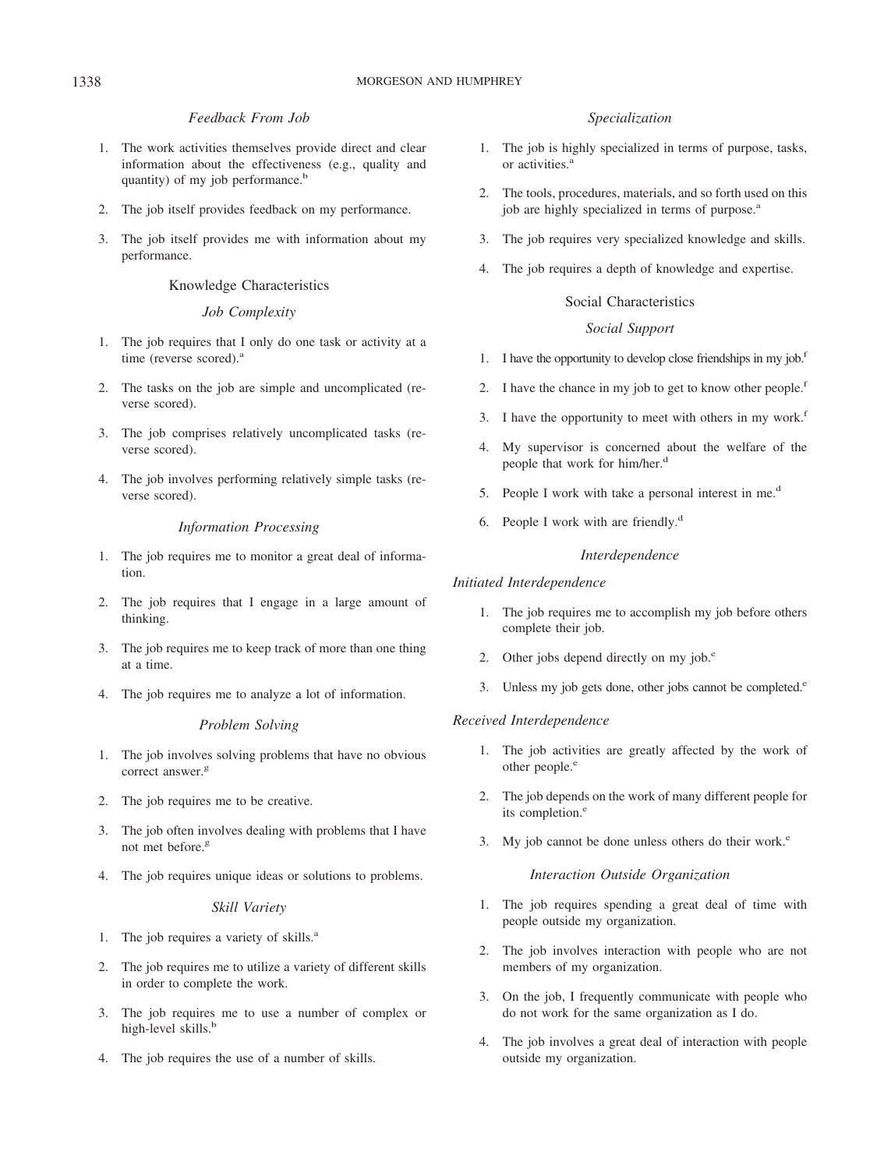## *Feedback From Job*

- 1. The work activities themselves provide direct and clear information about the effectiveness (e.g., quality and quantity) of my job performance.<sup>b</sup>
- 2. The job itself provides feedback on my performance.
- 3. The job itself provides me with information about my performance.

#### Knowledge Characteristics

#### *Job Complexity*

- 1. The job requires that I only do one task or activity at a time (reverse scored).<sup>a</sup>
- 2. The tasks on the job are simple and uncomplicated (reverse scored).
- 3. The job comprises relatively uncomplicated tasks (reverse scored).
- 4. The job involves performing relatively simple tasks (reverse scored).

#### *Information Processing*

- 1. The job requires me to monitor a great deal of information.
- 2. The job requires that I engage in a large amount of thinking.
- 3. The job requires me to keep track of more than one thing at a time.
- 4. The job requires me to analyze a lot of information.

## *Problem Solving*

- 1. The job involves solving problems that have no obvious correct answer.<sup>g</sup>
- 2. The job requires me to be creative.
- 3. The job often involves dealing with problems that I have not met before.<sup>g</sup>
- 4. The job requires unique ideas or solutions to problems.

## *Skill Variety*

- 1. The job requires a variety of skills.<sup>a</sup>
- 2. The job requires me to utilize a variety of different skills in order to complete the work.
- 3. The job requires me to use a number of complex or high-level skills.<sup>b</sup>
- 4. The job requires the use of a number of skills.

#### *Specialization*

- 1. The job is highly specialized in terms of purpose, tasks, or activities.<sup>a</sup>
- 2. The tools, procedures, materials, and so forth used on this job are highly specialized in terms of purpose.<sup>a</sup>
- 3. The job requires very specialized knowledge and skills.
- 4. The job requires a depth of knowledge and expertise.

#### Social Characteristics

## *Social Support*

- 1. I have the opportunity to develop close friendships in my job.<sup>f</sup>
- 2. I have the chance in my job to get to know other people.<sup>f</sup>
- 3. I have the opportunity to meet with others in my work.<sup> $f$ </sup>
- 4. My supervisor is concerned about the welfare of the people that work for him/her.<sup>d</sup>
- 5. People I work with take a personal interest in me.<sup>d</sup>
- 6. People I work with are friendly. $d$

#### *Interdependence*

# *Initiated Interdependence*

- 1. The job requires me to accomplish my job before others complete their job.
- 2. Other jobs depend directly on my job. $e^{\epsilon}$
- 3. Unless my job gets done, other jobs cannot be completed.<sup>e</sup>

## *Received Interdependence*

- 1. The job activities are greatly affected by the work of other people.<sup>e</sup>
- 2. The job depends on the work of many different people for its completion.<sup>e</sup>
- 3. My job cannot be done unless others do their work. $e$

## *Interaction Outside Organization*

- 1. The job requires spending a great deal of time with people outside my organization.
- 2. The job involves interaction with people who are not members of my organization.
- 3. On the job, I frequently communicate with people who do not work for the same organization as I do.
- 4. The job involves a great deal of interaction with people outside my organization.